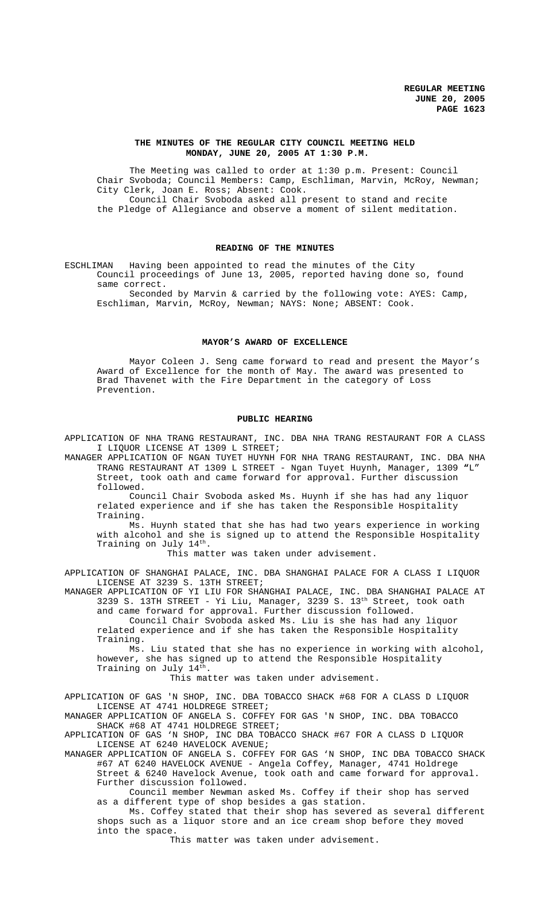### **THE MINUTES OF THE REGULAR CITY COUNCIL MEETING HELD MONDAY, JUNE 20, 2005 AT 1:30 P.M.**

The Meeting was called to order at 1:30 p.m. Present: Council Chair Svoboda; Council Members: Camp, Eschliman, Marvin, McRoy, Newman; City Clerk, Joan E. Ross; Absent: Cook. Council Chair Svoboda asked all present to stand and recite the Pledge of Allegiance and observe a moment of silent meditation.

#### **READING OF THE MINUTES**

ESCHLIMAN Having been appointed to read the minutes of the City Council proceedings of June 13, 2005, reported having done so, found same correct.

Seconded by Marvin & carried by the following vote: AYES: Camp, Eschliman, Marvin, McRoy, Newman; NAYS: None; ABSENT: Cook.

### **MAYOR'S AWARD OF EXCELLENCE**

Mayor Coleen J. Seng came forward to read and present the Mayor's Award of Excellence for the month of May. The award was presented to Brad Thavenet with the Fire Department in the category of Loss Prevention.

### **PUBLIC HEARING**

APPLICATION OF NHA TRANG RESTAURANT, INC. DBA NHA TRANG RESTAURANT FOR A CLASS I LIQUOR LICENSE AT 1309 L STREET;

MANAGER APPLICATION OF NGAN TUYET HUYNH FOR NHA TRANG RESTAURANT, INC. DBA NHA TRANG RESTAURANT AT 1309 L STREET - Ngan Tuyet Huynh, Manager, 1309 **"**L" Street, took oath and came forward for approval. Further discussion followed.

Council Chair Svoboda asked Ms. Huynh if she has had any liquor related experience and if she has taken the Responsible Hospitality Training.

Ms. Huynh stated that she has had two years experience in working with alcohol and she is signed up to attend the Responsible Hospitality Training on July  $14^{\text{th}}$ .

This matter was taken under advisement.

APPLICATION OF SHANGHAI PALACE, INC. DBA SHANGHAI PALACE FOR A CLASS I LIQUOR LICENSE AT 3239 S. 13TH STREET;

MANAGER APPLICATION OF YI LIU FOR SHANGHAI PALACE, INC. DBA SHANGHAI PALACE AT 3239 S. 13TH STREET - Yi Liu, Manager, 3239 S. 13th Street, took oath and came forward for approval. Further discussion followed.

Council Chair Svoboda asked Ms. Liu is she has had any liquor related experience and if she has taken the Responsible Hospitality

Training. Ms. Liu stated that she has no experience in working with alcohol, however, she has signed up to attend the Responsible Hospitality

Training on July 14<sup>th</sup>.

This matter was taken under advisement.

APPLICATION OF GAS 'N SHOP, INC. DBA TOBACCO SHACK #68 FOR A CLASS D LIQUOR LICENSE AT 4741 HOLDREGE STREET;

MANAGER APPLICATION OF ANGELA S. COFFEY FOR GAS 'N SHOP, INC. DBA TOBACCO SHACK #68 AT 4741 HOLDREGE STREET;

APPLICATION OF GAS 'N SHOP, INC DBA TOBACCO SHACK #67 FOR A CLASS D LIQUOR LICENSE AT 6240 HAVELOCK AVENUE;

MANAGER APPLICATION OF ANGELA S. COFFEY FOR GAS 'N SHOP, INC DBA TOBACCO SHACK #67 AT 6240 HAVELOCK AVENUE - Angela Coffey, Manager, 4741 Holdrege Street & 6240 Havelock Avenue, took oath and came forward for approval.

Further discussion followed. Council member Newman asked Ms. Coffey if their shop has served

as a different type of shop besides a gas station.

Ms. Coffey stated that their shop has severed as several different shops such as a liquor store and an ice cream shop before they moved into the space.

This matter was taken under advisement.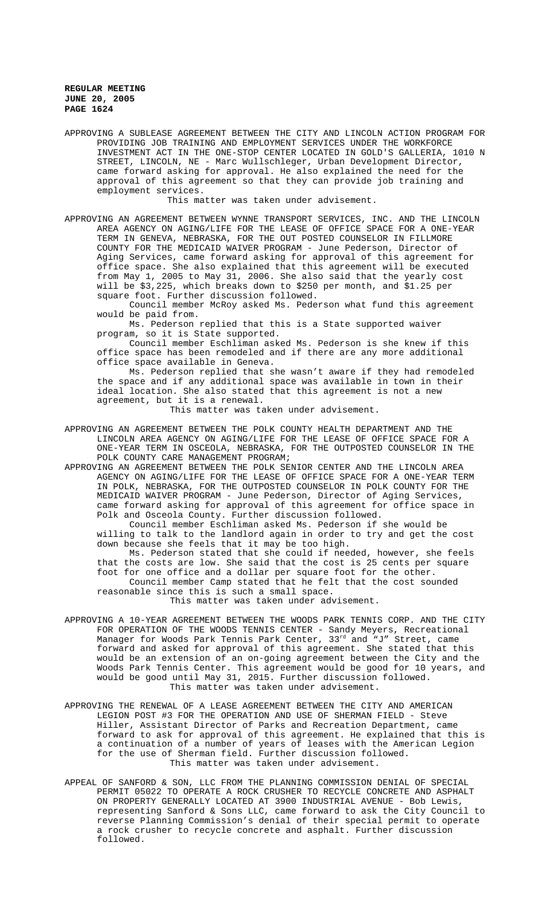APPROVING A SUBLEASE AGREEMENT BETWEEN THE CITY AND LINCOLN ACTION PROGRAM FOR PROVIDING JOB TRAINING AND EMPLOYMENT SERVICES UNDER THE WORKFORCE INVESTMENT ACT IN THE ONE-STOP CENTER LOCATED IN GOLD'S GALLERIA, 1010 N STREET, LINCOLN, NE - Marc Wullschleger, Urban Development Director, came forward asking for approval. He also explained the need for the approval of this agreement so that they can provide job training and employment services.

This matter was taken under advisement.

APPROVING AN AGREEMENT BETWEEN WYNNE TRANSPORT SERVICES, INC. AND THE LINCOLN AREA AGENCY ON AGING/LIFE FOR THE LEASE OF OFFICE SPACE FOR A ONE-YEAR TERM IN GENEVA, NEBRASKA, FOR THE OUT POSTED COUNSELOR IN FILLMORE COUNTY FOR THE MEDICAID WAIVER PROGRAM - June Pederson, Director of Aging Services, came forward asking for approval of this agreement for office space. She also explained that this agreement will be executed from May 1, 2005 to May 31, 2006. She also said that the yearly cost will be \$3,225, which breaks down to \$250 per month, and \$1.25 per square foot. Further discussion followed.

Council member McRoy asked Ms. Pederson what fund this agreement would be paid from.

Ms. Pederson replied that this is a State supported waiver program, so it is State supported.

Council member Eschliman asked Ms. Pederson is she knew if this office space has been remodeled and if there are any more additional office space available in Geneva.

Ms. Pederson replied that she wasn't aware if they had remodeled the space and if any additional space was available in town in their ideal location. She also stated that this agreement is not a new agreement, but it is a renewal.

This matter was taken under advisement.

APPROVING AN AGREEMENT BETWEEN THE POLK COUNTY HEALTH DEPARTMENT AND THE LINCOLN AREA AGENCY ON AGING/LIFE FOR THE LEASE OF OFFICE SPACE FOR A ONE-YEAR TERM IN OSCEOLA, NEBRASKA, FOR THE OUTPOSTED COUNSELOR IN THE POLK COUNTY CARE MANAGEMENT PROGRAM;

APPROVING AN AGREEMENT BETWEEN THE POLK SENIOR CENTER AND THE LINCOLN AREA AGENCY ON AGING/LIFE FOR THE LEASE OF OFFICE SPACE FOR A ONE-YEAR TERM IN POLK, NEBRASKA, FOR THE OUTPOSTED COUNSELOR IN POLK COUNTY FOR THE MEDICAID WAIVER PROGRAM - June Pederson, Director of Aging Services, came forward asking for approval of this agreement for office space in Polk and Osceola County. Further discussion followed.

Council member Eschliman asked Ms. Pederson if she would be willing to talk to the landlord again in order to try and get the cost down because she feels that it may be too high.

Ms. Pederson stated that she could if needed, however, she feels that the costs are low. She said that the cost is 25 cents per square foot for one office and a dollar per square foot for the other.

Council member Camp stated that he felt that the cost sounded reasonable since this is such a small space.

This matter was taken under advisement.

- APPROVING A 10-YEAR AGREEMENT BETWEEN THE WOODS PARK TENNIS CORP. AND THE CITY FOR OPERATION OF THE WOODS TENNIS CENTER - Sandy Meyers, Recreational Manager for Woods Park Tennis Park Center, 33<sup>rd</sup> and "J" Street, came forward and asked for approval of this agreement. She stated that this would be an extension of an on-going agreement between the City and the Woods Park Tennis Center. This agreement would be good for 10 years, and would be good until May 31, 2015. Further discussion followed. This matter was taken under advisement.
- APPROVING THE RENEWAL OF A LEASE AGREEMENT BETWEEN THE CITY AND AMERICAN LEGION POST #3 FOR THE OPERATION AND USE OF SHERMAN FIELD - Steve Hiller, Assistant Director of Parks and Recreation Department, came forward to ask for approval of this agreement. He explained that this is a continuation of a number of years of leases with the American Legion for the use of Sherman field. Further discussion followed. This matter was taken under advisement.
- APPEAL OF SANFORD & SON, LLC FROM THE PLANNING COMMISSION DENIAL OF SPECIAL PERMIT 05022 TO OPERATE A ROCK CRUSHER TO RECYCLE CONCRETE AND ASPHALT ON PROPERTY GENERALLY LOCATED AT 3900 INDUSTRIAL AVENUE - Bob Lewis, representing Sanford & Sons LLC, came forward to ask the City Council to reverse Planning Commission's denial of their special permit to operate a rock crusher to recycle concrete and asphalt. Further discussion followed.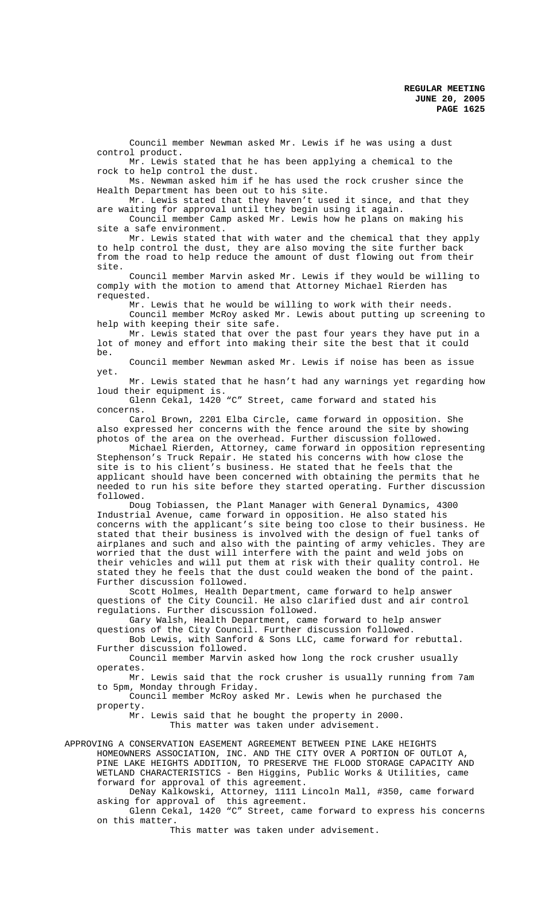Council member Newman asked Mr. Lewis if he was using a dust control product.

Mr. Lewis stated that he has been applying a chemical to the rock to help control the dust.

Ms. Newman asked him if he has used the rock crusher since the Health Department has been out to his site.

Mr. Lewis stated that they haven't used it since, and that they are waiting for approval until they begin using it again.

Council member Camp asked Mr. Lewis how he plans on making his site a safe environment.

Mr. Lewis stated that with water and the chemical that they apply to help control the dust, they are also moving the site further back from the road to help reduce the amount of dust flowing out from their site.

Council member Marvin asked Mr. Lewis if they would be willing to comply with the motion to amend that Attorney Michael Rierden has requested.

Mr. Lewis that he would be willing to work with their needs.

Council member McRoy asked Mr. Lewis about putting up screening to help with keeping their site safe.

Mr. Lewis stated that over the past four years they have put in a lot of money and effort into making their site the best that it could be.

Council member Newman asked Mr. Lewis if noise has been as issue yet.

Mr. Lewis stated that he hasn't had any warnings yet regarding how loud their equipment is.

Glenn Cekal, 1420 "C" Street, came forward and stated his concerns.

Carol Brown, 2201 Elba Circle, came forward in opposition. She also expressed her concerns with the fence around the site by showing photos of the area on the overhead. Further discussion followed.

Michael Rierden, Attorney, came forward in opposition representing Stephenson's Truck Repair. He stated his concerns with how close the site is to his client's business. He stated that he feels that the applicant should have been concerned with obtaining the permits that he needed to run his site before they started operating. Further discussion followed.

Doug Tobiassen, the Plant Manager with General Dynamics, 4300 Industrial Avenue, came forward in opposition. He also stated his concerns with the applicant's site being too close to their business. He stated that their business is involved with the design of fuel tanks of airplanes and such and also with the painting of army vehicles. They are worried that the dust will interfere with the paint and weld jobs on their vehicles and will put them at risk with their quality control. He stated they he feels that the dust could weaken the bond of the paint. Further discussion followed.

Scott Holmes, Health Department, came forward to help answer questions of the City Council. He also clarified dust and air control regulations. Further discussion followed.

Gary Walsh, Health Department, came forward to help answer questions of the City Council. Further discussion followed.

Bob Lewis, with Sanford & Sons LLC, came forward for rebuttal. Further discussion followed.

Council member Marvin asked how long the rock crusher usually operates.

Mr. Lewis said that the rock crusher is usually running from 7am to 5pm, Monday through Friday.

Council member McRoy asked Mr. Lewis when he purchased the property.

Mr. Lewis said that he bought the property in 2000. This matter was taken under advisement.

APPROVING A CONSERVATION EASEMENT AGREEMENT BETWEEN PINE LAKE HEIGHTS HOMEOWNERS ASSOCIATION, INC. AND THE CITY OVER A PORTION OF OUTLOT A, PINE LAKE HEIGHTS ADDITION, TO PRESERVE THE FLOOD STORAGE CAPACITY AND WETLAND CHARACTERISTICS - Ben Higgins, Public Works & Utilities, came forward for approval of this agreement.

DeNay Kalkowski, Attorney, 1111 Lincoln Mall, #350, came forward asking for approval of this agreement.

Glenn Cekal, 1420 "C" Street, came forward to express his concerns on this matter.

This matter was taken under advisement.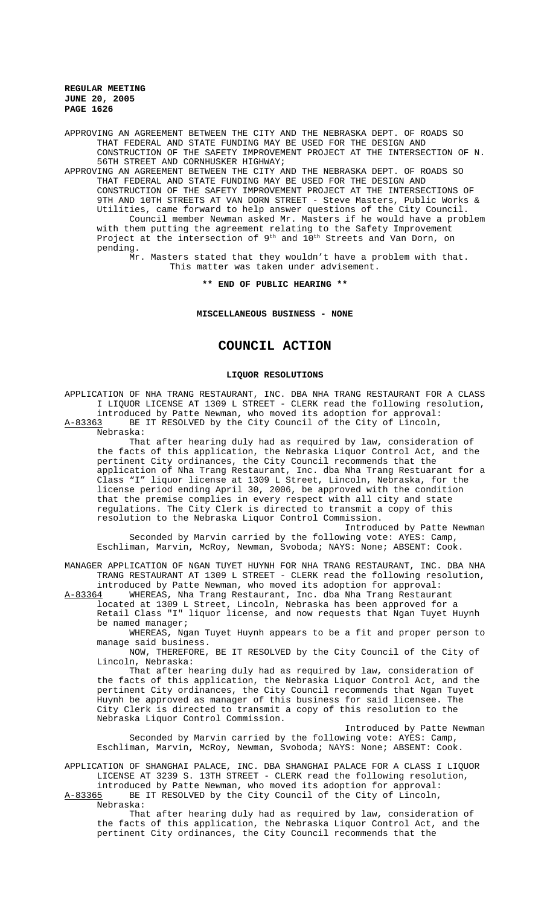APPROVING AN AGREEMENT BETWEEN THE CITY AND THE NEBRASKA DEPT. OF ROADS SO THAT FEDERAL AND STATE FUNDING MAY BE USED FOR THE DESIGN AND CONSTRUCTION OF THE SAFETY IMPROVEMENT PROJECT AT THE INTERSECTION OF N. 56TH STREET AND CORNHUSKER HIGHWAY;

APPROVING AN AGREEMENT BETWEEN THE CITY AND THE NEBRASKA DEPT. OF ROADS SO THAT FEDERAL AND STATE FUNDING MAY BE USED FOR THE DESIGN AND CONSTRUCTION OF THE SAFETY IMPROVEMENT PROJECT AT THE INTERSECTIONS OF 9TH AND 10TH STREETS AT VAN DORN STREET - Steve Masters, Public Works & Utilities, came forward to help answer questions of the City Council. Council member Newman asked Mr. Masters if he would have a problem with them putting the agreement relating to the Safety Improvement Project at the intersection of  $9^{\text{th}}$  and  $10^{\text{th}}$  Streets and Van Dorn, on pending.

Mr. Masters stated that they wouldn't have a problem with that. This matter was taken under advisement.

**\*\* END OF PUBLIC HEARING \*\***

**MISCELLANEOUS BUSINESS - NONE**

# **COUNCIL ACTION**

#### **LIQUOR RESOLUTIONS**

APPLICATION OF NHA TRANG RESTAURANT, INC. DBA NHA TRANG RESTAURANT FOR A CLASS I LIQUOR LICENSE AT 1309 L STREET - CLERK read the following resolution, introduced by Patte Newman, who moved its adoption for approval:<br>A-83363 BE IT RESOLVED by the City Council of the City of Lincoln, BE IT RESOLVED by the City Council of the City of Lincoln, Nebraska: That after hearing duly had as required by law, consideration of the facts of this application, the Nebraska Liquor Control Act, and the pertinent City ordinances, the City Council recommends that the

application of Nha Trang Restaurant, Inc. dba Nha Trang Restuarant for a Class "I" liquor license at 1309 L Street, Lincoln, Nebraska, for the license period ending April 30, 2006, be approved with the condition that the premise complies in every respect with all city and state regulations. The City Clerk is directed to transmit a copy of this resolution to the Nebraska Liquor Control Commission.

Introduced by Patte Newman

Seconded by Marvin carried by the following vote: AYES: Camp, Eschliman, Marvin, McRoy, Newman, Svoboda; NAYS: None; ABSENT: Cook.

MANAGER APPLICATION OF NGAN TUYET HUYNH FOR NHA TRANG RESTAURANT, INC. DBA NHA TRANG RESTAURANT AT 1309 L STREET - CLERK read the following resolution,

introduced by Patte Newman, who moved its adoption for approval:<br>A-83364 WHEREAS, Nha Trang Restaurant, Inc. dba Nha Trang Restaura WHEREAS, Nha Trang Restaurant, Inc. dba Nha Trang Restaurant located at 1309 L Street, Lincoln, Nebraska has been approved for a Retail Class "I" liquor license, and now requests that Ngan Tuyet Huynh be named manager;

WHEREAS, Ngan Tuyet Huynh appears to be a fit and proper person to manage said business.

NOW, THEREFORE, BE IT RESOLVED by the City Council of the City of Lincoln, Nebraska:

That after hearing duly had as required by law, consideration of the facts of this application, the Nebraska Liquor Control Act, and the pertinent City ordinances, the City Council recommends that Ngan Tuyet Huynh be approved as manager of this business for said licensee. The City Clerk is directed to transmit a copy of this resolution to the Nebraska Liquor Control Commission.

Introduced by Patte Newman Seconded by Marvin carried by the following vote: AYES: Camp, Eschliman, Marvin, McRoy, Newman, Svoboda; NAYS: None; ABSENT: Cook.

APPLICATION OF SHANGHAI PALACE, INC. DBA SHANGHAI PALACE FOR A CLASS I LIQUOR LICENSE AT 3239 S. 13TH STREET - CLERK read the following resolution, introduced by Patte Newman, who moved its adoption for approval:

A-83365 BE IT RESOLVED by the City Council of the City of Lincoln,

Nebraska:

That after hearing duly had as required by law, consideration of the facts of this application, the Nebraska Liquor Control Act, and the pertinent City ordinances, the City Council recommends that the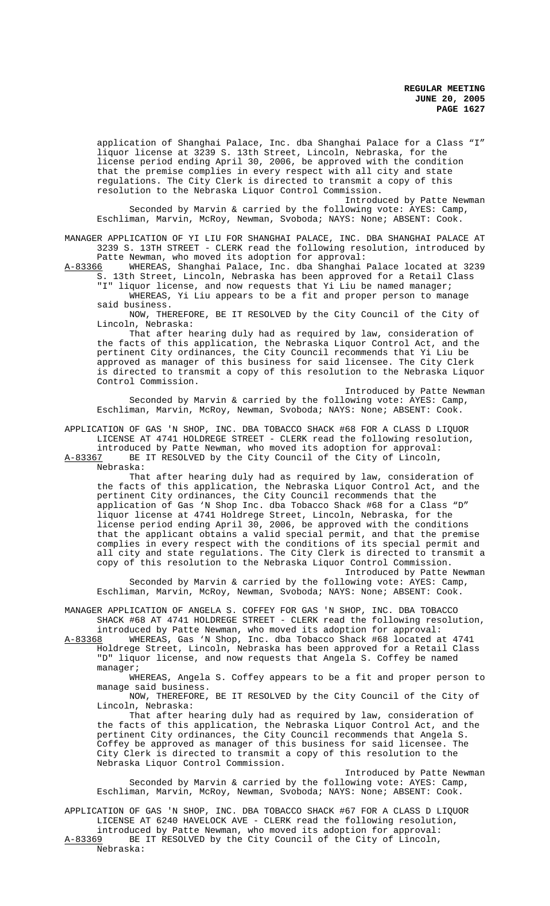application of Shanghai Palace, Inc. dba Shanghai Palace for a Class "I" liquor license at 3239 S. 13th Street, Lincoln, Nebraska, for the license period ending April 30, 2006, be approved with the condition that the premise complies in every respect with all city and state regulations. The City Clerk is directed to transmit a copy of this resolution to the Nebraska Liquor Control Commission. Introduced by Patte Newman

Seconded by Marvin & carried by the following vote: AYES: Camp, Eschliman, Marvin, McRoy, Newman, Svoboda; NAYS: None; ABSENT: Cook.

MANAGER APPLICATION OF YI LIU FOR SHANGHAI PALACE, INC. DBA SHANGHAI PALACE AT 3239 S. 13TH STREET - CLERK read the following resolution, introduced by

Patte Newman, who moved its adoption for approval:<br>A-83366 WHEREAS, Shanghai Palace, Inc. dba Shanghai WHEREAS, Shanghai Palace, Inc. dba Shanghai Palace located at 3239 S. 13th Street, Lincoln, Nebraska has been approved for a Retail Class

"I" liquor license, and now requests that Yi Liu be named manager; WHEREAS, Yi Liu appears to be a fit and proper person to manage said business.

NOW, THEREFORE, BE IT RESOLVED by the City Council of the City of Lincoln, Nebraska:

That after hearing duly had as required by law, consideration of the facts of this application, the Nebraska Liquor Control Act, and the pertinent City ordinances, the City Council recommends that Yi Liu be approved as manager of this business for said licensee. The City Clerk is directed to transmit a copy of this resolution to the Nebraska Liquor Control Commission.

Introduced by Patte Newman

Seconded by Marvin & carried by the following vote: AYES: Camp, Eschliman, Marvin, McRoy, Newman, Svoboda; NAYS: None; ABSENT: Cook.

APPLICATION OF GAS 'N SHOP, INC. DBA TOBACCO SHACK #68 FOR A CLASS D LIQUOR LICENSE AT 4741 HOLDREGE STREET - CLERK read the following resolution,

introduced by Patte Newman, who moved its adoption for approval:<br>A-83367 BE IT RESOLVED by the City Council of the City of Lincoln, BE IT RESOLVED by the City Council of the City of Lincoln,

Nebraska:

That after hearing duly had as required by law, consideration of the facts of this application, the Nebraska Liquor Control Act, and the pertinent City ordinances, the City Council recommends that the application of Gas 'N Shop Inc. dba Tobacco Shack #68 for a Class "D" liquor license at 4741 Holdrege Street, Lincoln, Nebraska, for the license period ending April 30, 2006, be approved with the conditions that the applicant obtains a valid special permit, and that the premise complies in every respect with the conditions of its special permit and all city and state regulations. The City Clerk is directed to transmit a copy of this resolution to the Nebraska Liquor Control Commission. Introduced by Patte Newman

Seconded by Marvin & carried by the following vote: AYES: Camp, Eschliman, Marvin, McRoy, Newman, Svoboda; NAYS: None; ABSENT: Cook.

MANAGER APPLICATION OF ANGELA S. COFFEY FOR GAS 'N SHOP, INC. DBA TOBACCO SHACK #68 AT 4741 HOLDREGE STREET - CLERK read the following resolution, introduced by Patte Newman, who moved its adoption for approval:

A-83368 WHEREAS, Gas 'N Shop, Inc. dba Tobacco Shack #68 located at 4741 Holdrege Street, Lincoln, Nebraska has been approved for a Retail Class "D" liquor license, and now requests that Angela S. Coffey be named manager;

WHEREAS, Angela S. Coffey appears to be a fit and proper person to manage said business.

NOW, THEREFORE, BE IT RESOLVED by the City Council of the City of Lincoln, Nebraska:

That after hearing duly had as required by law, consideration of the facts of this application, the Nebraska Liquor Control Act, and the pertinent City ordinances, the City Council recommends that Angela S. Coffey be approved as manager of this business for said licensee. The City Clerk is directed to transmit a copy of this resolution to the Nebraska Liquor Control Commission.

Introduced by Patte Newman Seconded by Marvin & carried by the following vote: AYES: Camp, Eschliman, Marvin, McRoy, Newman, Svoboda; NAYS: None; ABSENT: Cook.

APPLICATION OF GAS 'N SHOP, INC. DBA TOBACCO SHACK #67 FOR A CLASS D LIQUOR LICENSE AT 6240 HAVELOCK AVE - CLERK read the following resolution,

introduced by Patte Newman, who moved its adoption for approval:<br>A-83369 BE IT RESOLVED by the City Council of the City of Lincoln, BE IT RESOLVED by the City Council of the City of Lincoln, Nebraska: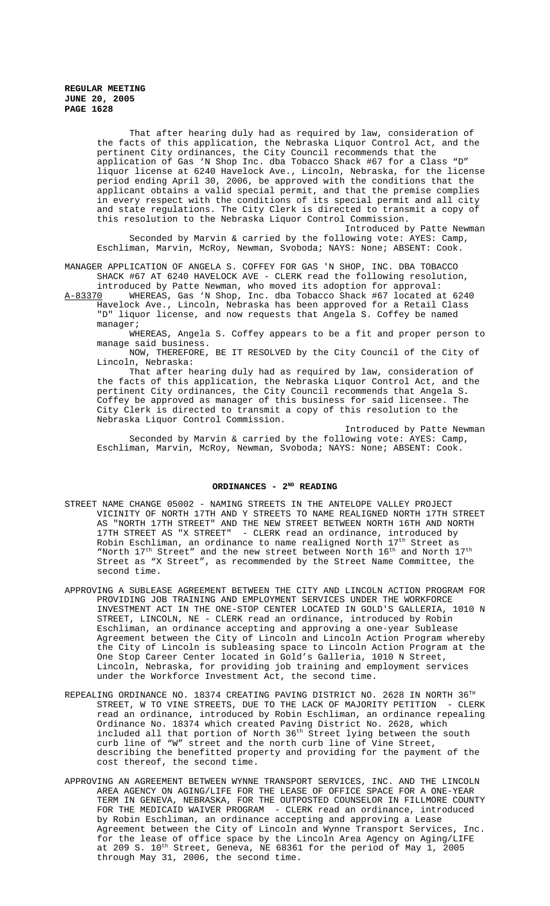That after hearing duly had as required by law, consideration of the facts of this application, the Nebraska Liquor Control Act, and the pertinent City ordinances, the City Council recommends that the application of Gas 'N Shop Inc. dba Tobacco Shack #67 for a Class "D" liquor license at 6240 Havelock Ave., Lincoln, Nebraska, for the license period ending April 30, 2006, be approved with the conditions that the applicant obtains a valid special permit, and that the premise complies in every respect with the conditions of its special permit and all city and state regulations. The City Clerk is directed to transmit a copy of this resolution to the Nebraska Liquor Control Commission.

Introduced by Patte Newman Seconded by Marvin & carried by the following vote: AYES: Camp, Eschliman, Marvin, McRoy, Newman, Svoboda; NAYS: None; ABSENT: Cook.

MANAGER APPLICATION OF ANGELA S. COFFEY FOR GAS 'N SHOP, INC. DBA TOBACCO SHACK #67 AT 6240 HAVELOCK AVE - CLERK read the following resolution,

introduced by Patte Newman, who moved its adoption for approval: A-83370 WHEREAS, Gas 'N Shop, Inc. dba Tobacco Shack #67 located at 6240 Havelock Ave., Lincoln, Nebraska has been approved for a Retail Class "D" liquor license, and now requests that Angela S. Coffey be named manager;

WHEREAS, Angela S. Coffey appears to be a fit and proper person to manage said business.

NOW, THEREFORE, BE IT RESOLVED by the City Council of the City of Lincoln, Nebraska:

That after hearing duly had as required by law, consideration of the facts of this application, the Nebraska Liquor Control Act, and the pertinent City ordinances, the City Council recommends that Angela S. Coffey be approved as manager of this business for said licensee. The City Clerk is directed to transmit a copy of this resolution to the Nebraska Liquor Control Commission.

Introduced by Patte Newman Seconded by Marvin & carried by the following vote: AYES: Camp, Eschliman, Marvin, McRoy, Newman, Svoboda; NAYS: None; ABSENT: Cook.

## ORDINANCES - 2<sup>ND</sup> READING

- STREET NAME CHANGE 05002 NAMING STREETS IN THE ANTELOPE VALLEY PROJECT VICINITY OF NORTH 17TH AND Y STREETS TO NAME REALIGNED NORTH 17TH STREET AS "NORTH 17TH STREET" AND THE NEW STREET BETWEEN NORTH 16TH AND NORTH 17TH STREET AS "X STREET" - CLERK read an ordinance, introduced by Robin Eschliman, an ordinance to name realigned North 17<sup>th</sup> Street as "North  $17<sup>th</sup>$  Street" and the new street between North  $16<sup>th</sup>$  and North  $17<sup>th</sup>$ Street as "X Street", as recommended by the Street Name Committee, the second time.
- APPROVING A SUBLEASE AGREEMENT BETWEEN THE CITY AND LINCOLN ACTION PROGRAM FOR PROVIDING JOB TRAINING AND EMPLOYMENT SERVICES UNDER THE WORKFORCE INVESTMENT ACT IN THE ONE-STOP CENTER LOCATED IN GOLD'S GALLERIA, 1010 N STREET, LINCOLN, NE - CLERK read an ordinance, introduced by Robin Eschliman, an ordinance accepting and approving a one-year Sublease Agreement between the City of Lincoln and Lincoln Action Program whereby the City of Lincoln is subleasing space to Lincoln Action Program at the One Stop Career Center located in Gold's Galleria, 1010 N Street, Lincoln, Nebraska, for providing job training and employment services under the Workforce Investment Act, the second time.
- REPEALING ORDINANCE NO. 18374 CREATING PAVING DISTRICT NO. 2628 IN NORTH 36TH STREET, W TO VINE STREETS, DUE TO THE LACK OF MAJORITY PETITION - CLERK read an ordinance, introduced by Robin Eschliman, an ordinance repealing Ordinance No. 18374 which created Paving District No. 2628, which included all that portion of North 36<sup>th</sup> Street lying between the south curb line of "W" street and the north curb line of Vine Street, describing the benefitted property and providing for the payment of the cost thereof, the second time.
- APPROVING AN AGREEMENT BETWEEN WYNNE TRANSPORT SERVICES, INC. AND THE LINCOLN AREA AGENCY ON AGING/LIFE FOR THE LEASE OF OFFICE SPACE FOR A ONE-YEAR TERM IN GENEVA, NEBRASKA, FOR THE OUTPOSTED COUNSELOR IN FILLMORE COUNTY FOR THE MEDICAID WAIVER PROGRAM - CLERK read an ordinance, introduced by Robin Eschliman, an ordinance accepting and approving a Lease Agreement between the City of Lincoln and Wynne Transport Services, Inc. for the lease of office space by the Lincoln Area Agency on Aging/LIFE at 209 S.  $10^{\text{th}}$  Street, Geneva, NE 68361 for the period of May 1, 2005 through May 31, 2006, the second time.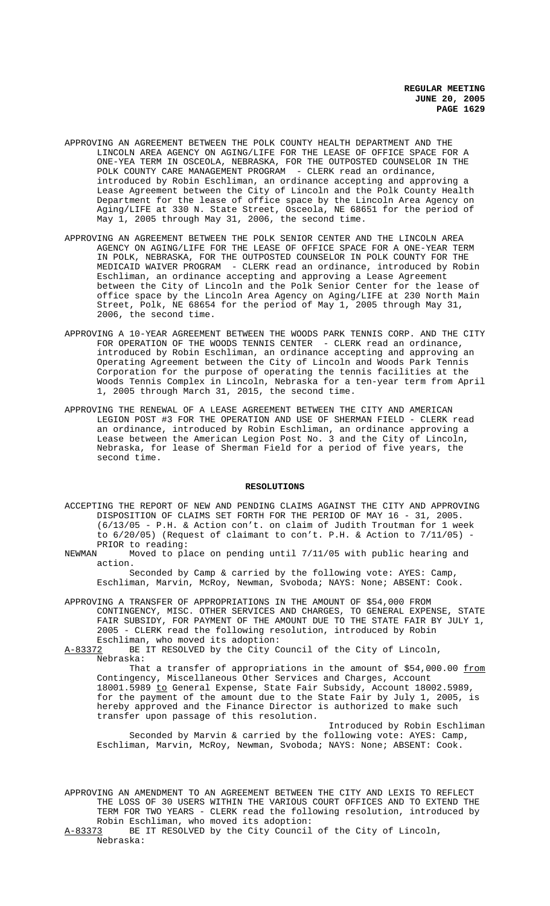- APPROVING AN AGREEMENT BETWEEN THE POLK COUNTY HEALTH DEPARTMENT AND THE LINCOLN AREA AGENCY ON AGING/LIFE FOR THE LEASE OF OFFICE SPACE FOR A ONE-YEA TERM IN OSCEOLA, NEBRASKA, FOR THE OUTPOSTED COUNSELOR IN THE POLK COUNTY CARE MANAGEMENT PROGRAM - CLERK read an ordinance, introduced by Robin Eschliman, an ordinance accepting and approving a Lease Agreement between the City of Lincoln and the Polk County Health Department for the lease of office space by the Lincoln Area Agency on Aging/LIFE at 330 N. State Street, Osceola, NE 68651 for the period of May 1, 2005 through May 31, 2006, the second time.
- APPROVING AN AGREEMENT BETWEEN THE POLK SENIOR CENTER AND THE LINCOLN AREA AGENCY ON AGING/LIFE FOR THE LEASE OF OFFICE SPACE FOR A ONE-YEAR TERM IN POLK, NEBRASKA, FOR THE OUTPOSTED COUNSELOR IN POLK COUNTY FOR THE MEDICAID WAIVER PROGRAM - CLERK read an ordinance, introduced by Robin Eschliman, an ordinance accepting and approving a Lease Agreement between the City of Lincoln and the Polk Senior Center for the lease of office space by the Lincoln Area Agency on Aging/LIFE at 230 North Main Street, Polk, NE 68654 for the period of May 1, 2005 through May 31, 2006, the second time.
- APPROVING A 10-YEAR AGREEMENT BETWEEN THE WOODS PARK TENNIS CORP. AND THE CITY FOR OPERATION OF THE WOODS TENNIS CENTER - CLERK read an ordinance, introduced by Robin Eschliman, an ordinance accepting and approving an Operating Agreement between the City of Lincoln and Woods Park Tennis Corporation for the purpose of operating the tennis facilities at the Woods Tennis Complex in Lincoln, Nebraska for a ten-year term from April 1, 2005 through March 31, 2015, the second time.
- APPROVING THE RENEWAL OF A LEASE AGREEMENT BETWEEN THE CITY AND AMERICAN LEGION POST #3 FOR THE OPERATION AND USE OF SHERMAN FIELD - CLERK read an ordinance, introduced by Robin Eschliman, an ordinance approving a Lease between the American Legion Post No. 3 and the City of Lincoln, Nebraska, for lease of Sherman Field for a period of five years, the second time.

#### **RESOLUTIONS**

- ACCEPTING THE REPORT OF NEW AND PENDING CLAIMS AGAINST THE CITY AND APPROVING DISPOSITION OF CLAIMS SET FORTH FOR THE PERIOD OF MAY 16 - 31, 2005. (6/13/05 - P.H. & Action con't. on claim of Judith Troutman for 1 week to  $6/20/05$ ) (Request of claimant to con't. P.H. & Action to  $7/11/05$ ) -PRIOR to reading:<br>NEWMAN Moved to pl
- Moved to place on pending until 7/11/05 with public hearing and action.

Seconded by Camp & carried by the following vote: AYES: Camp, Eschliman, Marvin, McRoy, Newman, Svoboda; NAYS: None; ABSENT: Cook.

APPROVING A TRANSFER OF APPROPRIATIONS IN THE AMOUNT OF \$54,000 FROM CONTINGENCY, MISC. OTHER SERVICES AND CHARGES, TO GENERAL EXPENSE, STATE FAIR SUBSIDY, FOR PAYMENT OF THE AMOUNT DUE TO THE STATE FAIR BY JULY 1, 2005 - CLERK read the following resolution, introduced by Robin

Eschliman, who moved its adoption:<br>A-83372 BE IT RESOLVED by the City C BE IT RESOLVED by the City Council of the City of Lincoln, Nebraska:

That a transfer of appropriations in the amount of \$54,000.00 <u>from</u> Contingency, Miscellaneous Other Services and Charges, Account 18001.5989 to General Expense, State Fair Subsidy, Account 18002.5989, for the payment of the amount due to the State Fair by July 1, 2005, is hereby approved and the Finance Director is authorized to make such transfer upon passage of this resolution.

Introduced by Robin Eschliman Seconded by Marvin & carried by the following vote: AYES: Camp, Eschliman, Marvin, McRoy, Newman, Svoboda; NAYS: None; ABSENT: Cook.

APPROVING AN AMENDMENT TO AN AGREEMENT BETWEEN THE CITY AND LEXIS TO REFLECT THE LOSS OF 30 USERS WITHIN THE VARIOUS COURT OFFICES AND TO EXTEND THE TERM FOR TWO YEARS - CLERK read the following resolution, introduced by Robin Eschliman, who moved its adoption:<br>A-83373 BE IT RESOLVED by the City Council BE IT RESOLVED by the City Council of the City of Lincoln,

Nebraska: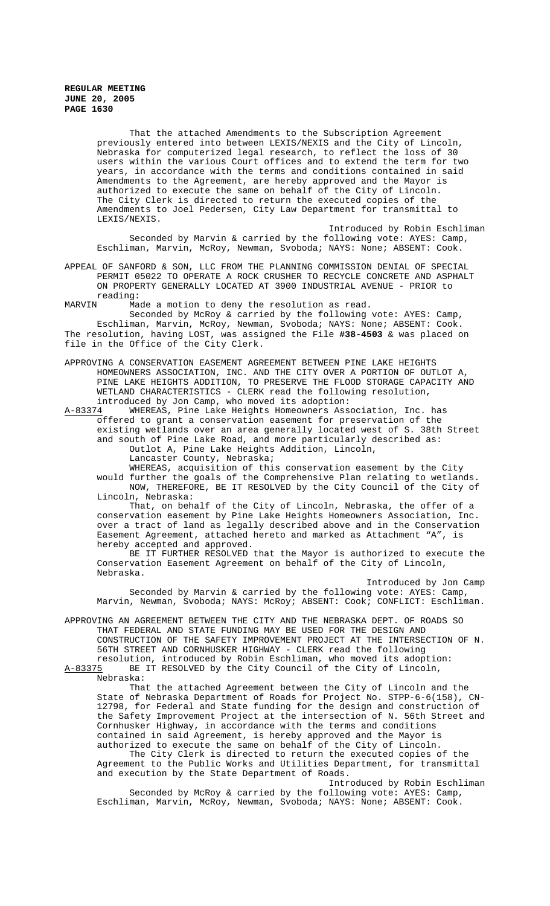That the attached Amendments to the Subscription Agreement previously entered into between LEXIS/NEXIS and the City of Lincoln, Nebraska for computerized legal research, to reflect the loss of 30 users within the various Court offices and to extend the term for two years, in accordance with the terms and conditions contained in said Amendments to the Agreement, are hereby approved and the Mayor is authorized to execute the same on behalf of the City of Lincoln. The City Clerk is directed to return the executed copies of the Amendments to Joel Pedersen, City Law Department for transmittal to LEXIS/NEXIS.

Introduced by Robin Eschliman Seconded by Marvin & carried by the following vote: AYES: Camp, Eschliman, Marvin, McRoy, Newman, Svoboda; NAYS: None; ABSENT: Cook.

APPEAL OF SANFORD & SON, LLC FROM THE PLANNING COMMISSION DENIAL OF SPECIAL PERMIT 05022 TO OPERATE A ROCK CRUSHER TO RECYCLE CONCRETE AND ASPHALT ON PROPERTY GENERALLY LOCATED AT 3900 INDUSTRIAL AVENUE - PRIOR to reading:<br>MARVIN Ma

Made a motion to deny the resolution as read.

Seconded by McRoy & carried by the following vote: AYES: Camp, Eschliman, Marvin, McRoy, Newman, Svoboda; NAYS: None; ABSENT: Cook. The resolution, having LOST, was assigned the File **#38-4503** & was placed on file in the Office of the City Clerk.

APPROVING A CONSERVATION EASEMENT AGREEMENT BETWEEN PINE LAKE HEIGHTS HOMEOWNERS ASSOCIATION, INC. AND THE CITY OVER A PORTION OF OUTLOT A, PINE LAKE HEIGHTS ADDITION, TO PRESERVE THE FLOOD STORAGE CAPACITY AND WETLAND CHARACTERISTICS - CLERK read the following resolution,

introduced by Jon Camp, who moved its adoption:<br>A-83374 WHEREAS, Pine Lake Heights Homeowners Ass WHEREAS, Pine Lake Heights Homeowners Association, Inc. has offered to grant a conservation easement for preservation of the existing wetlands over an area generally located west of S. 38th Street and south of Pine Lake Road, and more particularly described as: Outlot A, Pine Lake Heights Addition, Lincoln,

Lancaster County, Nebraska;

WHEREAS, acquisition of this conservation easement by the City would further the goals of the Comprehensive Plan relating to wetlands.

NOW, THEREFORE, BE IT RESOLVED by the City Council of the City of Lincoln, Nebraska:

That, on behalf of the City of Lincoln, Nebraska, the offer of a conservation easement by Pine Lake Heights Homeowners Association, Inc. over a tract of land as legally described above and in the Conservation Easement Agreement, attached hereto and marked as Attachment "A", is hereby accepted and approved.

BE IT FURTHER RESOLVED that the Mayor is authorized to execute the Conservation Easement Agreement on behalf of the City of Lincoln, Nebraska.

Introduced by Jon Camp

Seconded by Marvin & carried by the following vote: AYES: Camp, Marvin, Newman, Svoboda; NAYS: McRoy; ABSENT: Cook; CONFLICT: Eschliman.

APPROVING AN AGREEMENT BETWEEN THE CITY AND THE NEBRASKA DEPT. OF ROADS SO THAT FEDERAL AND STATE FUNDING MAY BE USED FOR THE DESIGN AND CONSTRUCTION OF THE SAFETY IMPROVEMENT PROJECT AT THE INTERSECTION OF N. 56TH STREET AND CORNHUSKER HIGHWAY - CLERK read the following resolution, introduced by Robin Eschliman, who moved its adoption: A-83375 BE IT RESOLVED by the City Council of the City of Lincoln,

Nebraska:

That the attached Agreement between the City of Lincoln and the State of Nebraska Department of Roads for Project No. STPP-6-6(158), CN-12798, for Federal and State funding for the design and construction of the Safety Improvement Project at the intersection of N. 56th Street and Cornhusker Highway, in accordance with the terms and conditions contained in said Agreement, is hereby approved and the Mayor is authorized to execute the same on behalf of the City of Lincoln.

The City Clerk is directed to return the executed copies of the Agreement to the Public Works and Utilities Department, for transmittal and execution by the State Department of Roads.

Introduced by Robin Eschliman Seconded by McRoy & carried by the following vote: AYES: Camp, Eschliman, Marvin, McRoy, Newman, Svoboda; NAYS: None; ABSENT: Cook.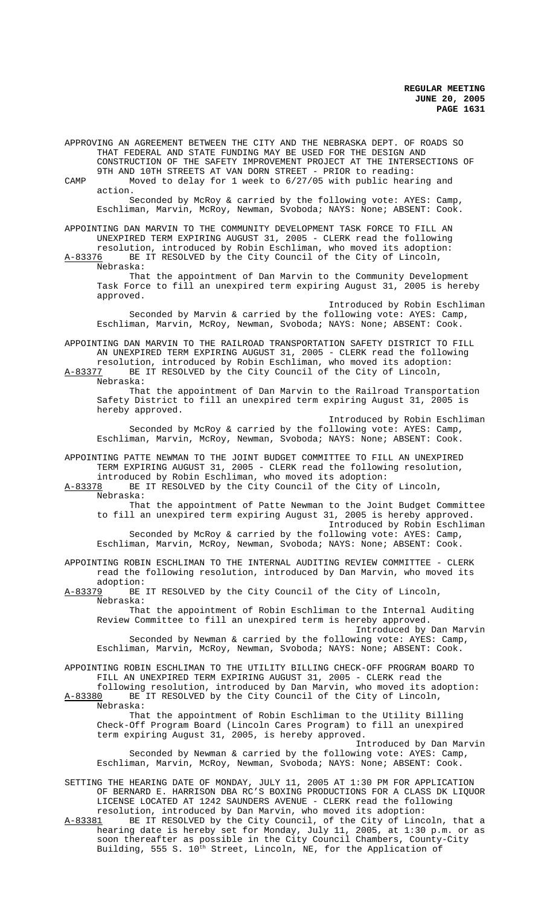APPROVING AN AGREEMENT BETWEEN THE CITY AND THE NEBRASKA DEPT. OF ROADS SO THAT FEDERAL AND STATE FUNDING MAY BE USED FOR THE DESIGN AND CONSTRUCTION OF THE SAFETY IMPROVEMENT PROJECT AT THE INTERSECTIONS OF 9TH AND 10TH STREETS AT VAN DORN STREET - PRIOR to reading: CAMP Moved to delay for 1 week to 6/27/05 with public hearing and action. Seconded by McRoy & carried by the following vote: AYES: Camp, Eschliman, Marvin, McRoy, Newman, Svoboda; NAYS: None; ABSENT: Cook. APPOINTING DAN MARVIN TO THE COMMUNITY DEVELOPMENT TASK FORCE TO FILL AN UNEXPIRED TERM EXPIRING AUGUST 31, 2005 - CLERK read the following resolution, introduced by Robin Eschliman, who moved its adoption: A-83376 BE IT RESOLVED by the City Council of the City of Lincoln, Nebraska: That the appointment of Dan Marvin to the Community Development Task Force to fill an unexpired term expiring August 31, 2005 is hereby approved. Introduced by Robin Eschliman Seconded by Marvin & carried by the following vote: AYES: Camp, Eschliman, Marvin, McRoy, Newman, Svoboda; NAYS: None; ABSENT: Cook. APPOINTING DAN MARVIN TO THE RAILROAD TRANSPORTATION SAFETY DISTRICT TO FILL AN UNEXPIRED TERM EXPIRING AUGUST 31, 2005 - CLERK read the following resolution, introduced by Robin Eschliman, who moved its adoption:<br>A-83377 BE IT RESOLVED by the City Council of the City of Lincoln. BE IT RESOLVED by the City Council of the City of Lincoln, Nebraska: That the appointment of Dan Marvin to the Railroad Transportation Safety District to fill an unexpired term expiring August 31, 2005 is hereby approved. Introduced by Robin Eschliman Seconded by McRoy & carried by the following vote: AYES: Camp, Eschliman, Marvin, McRoy, Newman, Svoboda; NAYS: None; ABSENT: Cook. APPOINTING PATTE NEWMAN TO THE JOINT BUDGET COMMITTEE TO FILL AN UNEXPIRED TERM EXPIRING AUGUST 31, 2005 - CLERK read the following resolution, introduced by Robin Eschliman, who moved its adoption: A-83378 BE IT RESOLVED by the City Council of the City of Lincoln, Nebraska: That the appointment of Patte Newman to the Joint Budget Committee to fill an unexpired term expiring August 31, 2005 is hereby approved. Introduced by Robin Eschliman Seconded by McRoy & carried by the following vote: AYES: Camp, Eschliman, Marvin, McRoy, Newman, Svoboda; NAYS: None; ABSENT: Cook. APPOINTING ROBIN ESCHLIMAN TO THE INTERNAL AUDITING REVIEW COMMITTEE - CLERK read the following resolution, introduced by Dan Marvin, who moved its adoption:<br>A-83379 BE BE IT RESOLVED by the City Council of the City of Lincoln, Nebraska: That the appointment of Robin Eschliman to the Internal Auditing Review Committee to fill an unexpired term is hereby approved. Introduced by Dan Marvin Seconded by Newman & carried by the following vote: AYES: Camp, Eschliman, Marvin, McRoy, Newman, Svoboda; NAYS: None; ABSENT: Cook. APPOINTING ROBIN ESCHLIMAN TO THE UTILITY BILLING CHECK-OFF PROGRAM BOARD TO FILL AN UNEXPIRED TERM EXPIRING AUGUST 31, 2005 - CLERK read the following resolution, introduced by Dan Marvin, who moved its adoption:<br>A-83380 BE IT RESOLVED by the City Council of the City of Lincoln, BE IT RESOLVED by the City Council of the City of Lincoln, Nebraska: That the appointment of Robin Eschliman to the Utility Billing Check-Off Program Board (Lincoln Cares Program) to fill an unexpired term expiring August 31, 2005, is hereby approved. Introduced by Dan Marvin Seconded by Newman & carried by the following vote: AYES: Camp, Eschliman, Marvin, McRoy, Newman, Svoboda; NAYS: None; ABSENT: Cook. SETTING THE HEARING DATE OF MONDAY, JULY 11, 2005 AT 1:30 PM FOR APPLICATION OF BERNARD E. HARRISON DBA RC'S BOXING PRODUCTIONS FOR A CLASS DK LIQUOR LICENSE LOCATED AT 1242 SAUNDERS AVENUE - CLERK read the following resolution, introduced by Dan Marvin, who moved its adoption: A-83381 BE IT RESOLVED by the City Council, of the City of Lincoln, that a

hearing date is hereby set for Monday, July 11, 2005, at 1:30 p.m. or as soon thereafter as possible in the City Council Chambers, County-City Building, 555 S. 10<sup>th</sup> Street, Lincoln, NE, for the Application of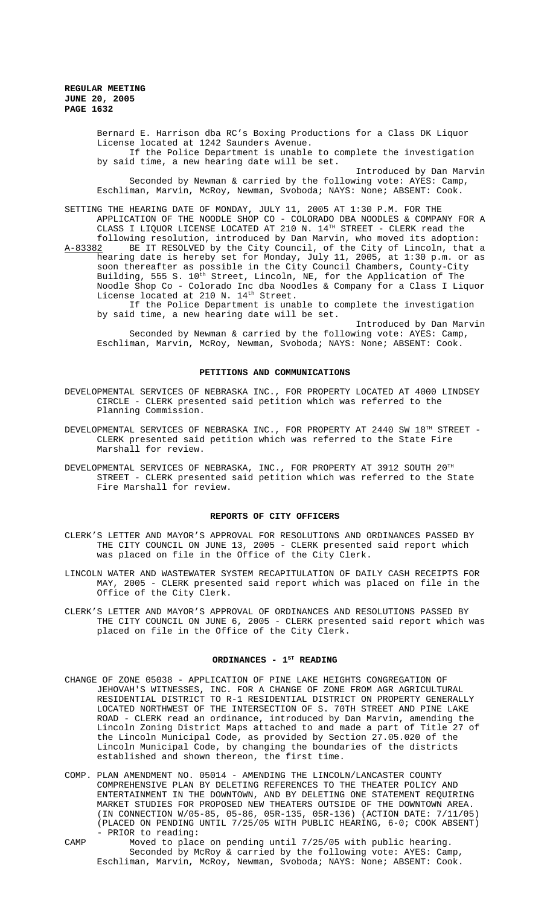Bernard E. Harrison dba RC's Boxing Productions for a Class DK Liquor License located at 1242 Saunders Avenue. If the Police Department is unable to complete the investigation by said time, a new hearing date will be set. Introduced by Dan Marvin

Seconded by Newman & carried by the following vote: AYES: Camp, Eschliman, Marvin, McRoy, Newman, Svoboda; NAYS: None; ABSENT: Cook.

SETTING THE HEARING DATE OF MONDAY, JULY 11, 2005 AT 1:30 P.M. FOR THE APPLICATION OF THE NOODLE SHOP CO - COLORADO DBA NOODLES & COMPANY FOR A CLASS I LIQUOR LICENSE LOCATED AT 210 N.  $14^{\text{TH}}$  STREET - CLERK read the following resolution, introduced by Dan Marvin, who moved its adoption: A-83382 BE IT RESOLVED by the City Council, of the City of Lincoln, that a hearing date is hereby set for Monday, July 11, 2005, at 1:30 p.m. or as soon thereafter as possible in the City Council Chambers, County-City Building, 555 S.  $10^{\text{th}}$  Street, Lincoln, NE, for the Application of The Noodle Shop Co - Colorado Inc dba Noodles & Company for a Class I Liquor License located at 210 N.  $14^{\text{th}}$  Street. If the Police Department is unable to complete the investigation

by said time, a new hearing date will be set.

Introduced by Dan Marvin Seconded by Newman & carried by the following vote: AYES: Camp, Eschliman, Marvin, McRoy, Newman, Svoboda; NAYS: None; ABSENT: Cook.

### **PETITIONS AND COMMUNICATIONS**

- DEVELOPMENTAL SERVICES OF NEBRASKA INC., FOR PROPERTY LOCATED AT 4000 LINDSEY CIRCLE - CLERK presented said petition which was referred to the Planning Commission.
- DEVELOPMENTAL SERVICES OF NEBRASKA INC., FOR PROPERTY AT 2440 SW  $18^{TH}$  STREET -CLERK presented said petition which was referred to the State Fire Marshall for review.
- DEVELOPMENTAL SERVICES OF NEBRASKA, INC., FOR PROPERTY AT 3912 SOUTH 20TH STREET - CLERK presented said petition which was referred to the State Fire Marshall for review.

#### **REPORTS OF CITY OFFICERS**

- CLERK'S LETTER AND MAYOR'S APPROVAL FOR RESOLUTIONS AND ORDINANCES PASSED BY THE CITY COUNCIL ON JUNE 13, 2005 - CLERK presented said report which was placed on file in the Office of the City Clerk.
- LINCOLN WATER AND WASTEWATER SYSTEM RECAPITULATION OF DAILY CASH RECEIPTS FOR MAY, 2005 - CLERK presented said report which was placed on file in the Office of the City Clerk.
- CLERK'S LETTER AND MAYOR'S APPROVAL OF ORDINANCES AND RESOLUTIONS PASSED BY THE CITY COUNCIL ON JUNE 6, 2005 - CLERK presented said report which was placed on file in the Office of the City Clerk.

#### ORDINANCES - 1<sup>st</sup> READING

- CHANGE OF ZONE 05038 APPLICATION OF PINE LAKE HEIGHTS CONGREGATION OF JEHOVAH'S WITNESSES, INC. FOR A CHANGE OF ZONE FROM AGR AGRICULTURAL RESIDENTIAL DISTRICT TO R-1 RESIDENTIAL DISTRICT ON PROPERTY GENERALLY LOCATED NORTHWEST OF THE INTERSECTION OF S. 70TH STREET AND PINE LAKE ROAD - CLERK read an ordinance, introduced by Dan Marvin, amending the Lincoln Zoning District Maps attached to and made a part of Title 27 of the Lincoln Municipal Code, as provided by Section 27.05.020 of the Lincoln Municipal Code, by changing the boundaries of the districts established and shown thereon, the first time.
- COMP. PLAN AMENDMENT NO. 05014 AMENDING THE LINCOLN/LANCASTER COUNTY COMPREHENSIVE PLAN BY DELETING REFERENCES TO THE THEATER POLICY AND ENTERTAINMENT IN THE DOWNTOWN, AND BY DELETING ONE STATEMENT REQUIRING MARKET STUDIES FOR PROPOSED NEW THEATERS OUTSIDE OF THE DOWNTOWN AREA. (IN CONNECTION W/05-85, 05-86, 05R-135, 05R-136) (ACTION DATE: 7/11/05) (PLACED ON PENDING UNTIL 7/25/05 WITH PUBLIC HEARING, 6-0; COOK ABSENT) - PRIOR to reading:

CAMP Moved to place on pending until 7/25/05 with public hearing. Seconded by McRoy & carried by the following vote: AYES: Camp, Eschliman, Marvin, McRoy, Newman, Svoboda; NAYS: None; ABSENT: Cook.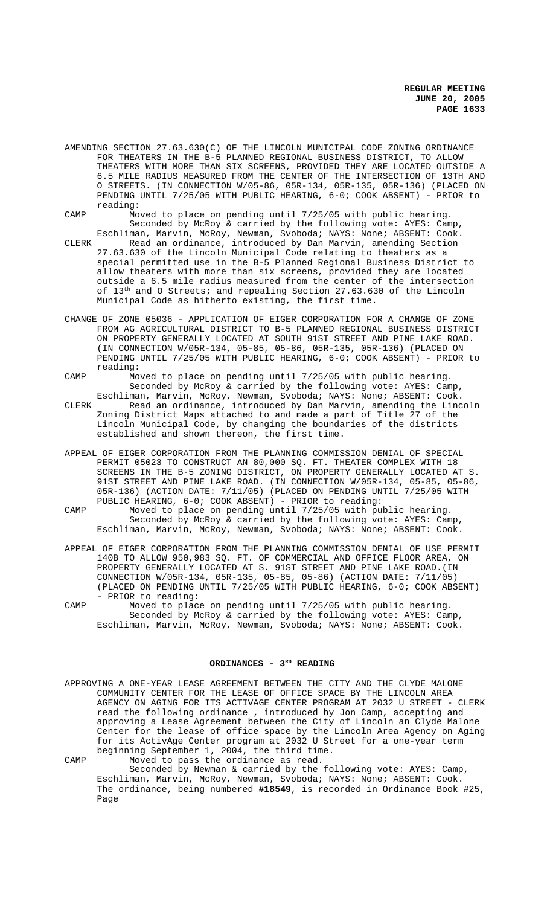AMENDING SECTION 27.63.630(C) OF THE LINCOLN MUNICIPAL CODE ZONING ORDINANCE FOR THEATERS IN THE B-5 PLANNED REGIONAL BUSINESS DISTRICT, TO ALLOW THEATERS WITH MORE THAN SIX SCREENS, PROVIDED THEY ARE LOCATED OUTSIDE A 6.5 MILE RADIUS MEASURED FROM THE CENTER OF THE INTERSECTION OF 13TH AND O STREETS. (IN CONNECTION W/05-86, 05R-134, 05R-135, 05R-136) (PLACED ON PENDING UNTIL 7/25/05 WITH PUBLIC HEARING, 6-0; COOK ABSENT) - PRIOR to reading:

CAMP Moved to place on pending until 7/25/05 with public hearing. Seconded by McRoy & carried by the following vote: AYES: Camp,

Eschliman, Marvin, McRoy, Newman, Svoboda; NAYS: None; ABSENT: Cook. CLERK Read an ordinance, introduced by Dan Marvin, amending Section 27.63.630 of the Lincoln Municipal Code relating to theaters as a special permitted use in the B-5 Planned Regional Business District to allow theaters with more than six screens, provided they are located outside a 6.5 mile radius measured from the center of the intersection of 13<sup>th</sup> and O Streets; and repealing Section 27.63.630 of the Lincoln Municipal Code as hitherto existing, the first time.

- CHANGE OF ZONE 05036 APPLICATION OF EIGER CORPORATION FOR A CHANGE OF ZONE FROM AG AGRICULTURAL DISTRICT TO B-5 PLANNED REGIONAL BUSINESS DISTRICT ON PROPERTY GENERALLY LOCATED AT SOUTH 91ST STREET AND PINE LAKE ROAD. (IN CONNECTION W/05R-134, 05-85, 05-86, 05R-135, 05R-136) (PLACED ON PENDING UNTIL 7/25/05 WITH PUBLIC HEARING, 6-0; COOK ABSENT) - PRIOR to reading:
- CAMP Moved to place on pending until 7/25/05 with public hearing. Seconded by McRoy & carried by the following vote: AYES: Camp, Eschliman, Marvin, McRoy, Newman, Svoboda; NAYS: None; ABSENT: Cook. CLERK Read an ordinance, introduced by Dan Marvin, amending the Lincoln Zoning District Maps attached to and made a part of Title 27 of the Lincoln Municipal Code, by changing the boundaries of the districts

established and shown thereon, the first time.

- APPEAL OF EIGER CORPORATION FROM THE PLANNING COMMISSION DENIAL OF SPECIAL PERMIT 05023 TO CONSTRUCT AN 80,000 SQ. FT. THEATER COMPLEX WITH 18 SCREENS IN THE B-5 ZONING DISTRICT, ON PROPERTY GENERALLY LOCATED AT S. 91ST STREET AND PINE LAKE ROAD. (IN CONNECTION W/05R-134, 05-85, 05-86, 05R-136) (ACTION DATE: 7/11/05) (PLACED ON PENDING UNTIL 7/25/05 WITH PUBLIC HEARING, 6-0; COOK ABSENT) - PRIOR to reading:
- CAMP Moved to place on pending until 7/25/05 with public hearing. Seconded by McRoy & carried by the following vote: AYES: Camp, Eschliman, Marvin, McRoy, Newman, Svoboda; NAYS: None; ABSENT: Cook.
- APPEAL OF EIGER CORPORATION FROM THE PLANNING COMMISSION DENIAL OF USE PERMIT 140B TO ALLOW 950,983 SQ. FT. OF COMMERCIAL AND OFFICE FLOOR AREA, ON PROPERTY GENERALLY LOCATED AT S. 91ST STREET AND PINE LAKE ROAD.(IN CONNECTION W/05R-134, 05R-135, 05-85, 05-86) (ACTION DATE: 7/11/05) (PLACED ON PENDING UNTIL 7/25/05 WITH PUBLIC HEARING, 6-0; COOK ABSENT) - PRIOR to reading:
- CAMP Moved to place on pending until 7/25/05 with public hearing. Seconded by McRoy & carried by the following vote: AYES: Camp, Eschliman, Marvin, McRoy, Newman, Svoboda; NAYS: None; ABSENT: Cook.

# ORDINANCES - 3<sup>RD</sup> READING

APPROVING A ONE-YEAR LEASE AGREEMENT BETWEEN THE CITY AND THE CLYDE MALONE COMMUNITY CENTER FOR THE LEASE OF OFFICE SPACE BY THE LINCOLN AREA AGENCY ON AGING FOR ITS ACTIVAGE CENTER PROGRAM AT 2032 U STREET - CLERK read the following ordinance , introduced by Jon Camp, accepting and approving a Lease Agreement between the City of Lincoln an Clyde Malone Center for the lease of office space by the Lincoln Area Agency on Aging for its ActivAge Center program at 2032 U Street for a one-year term beginning September 1, 2004, the third time.

CAMP Moved to pass the ordinance as read. Seconded by Newman & carried by the following vote: AYES: Camp, Eschliman, Marvin, McRoy, Newman, Svoboda; NAYS: None; ABSENT: Cook. The ordinance, being numbered **#18549**, is recorded in Ordinance Book #25, Page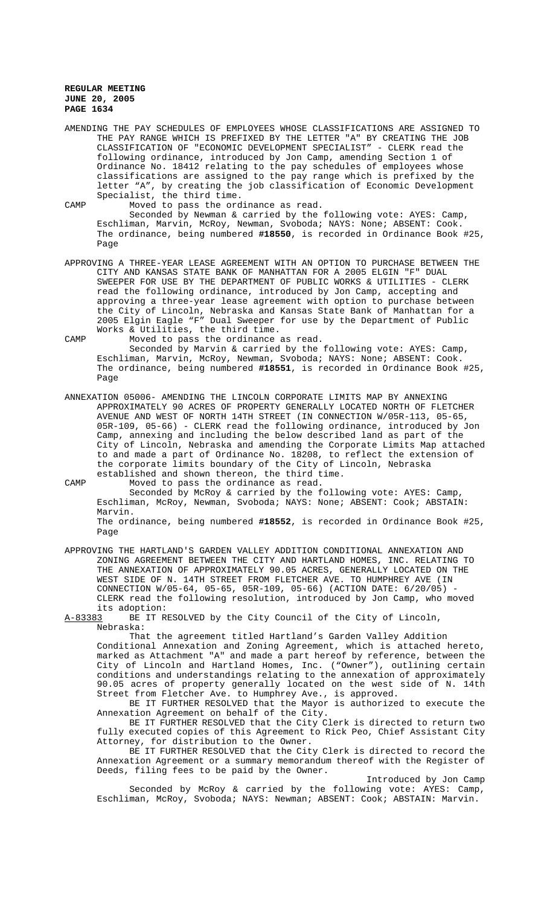AMENDING THE PAY SCHEDULES OF EMPLOYEES WHOSE CLASSIFICATIONS ARE ASSIGNED TO THE PAY RANGE WHICH IS PREFIXED BY THE LETTER "A" BY CREATING THE JOB CLASSIFICATION OF "ECONOMIC DEVELOPMENT SPECIALIST" - CLERK read the following ordinance, introduced by Jon Camp, amending Section 1 of Ordinance No. 18412 relating to the pay schedules of employees whose classifications are assigned to the pay range which is prefixed by the letter "A", by creating the job classification of Economic Development Specialist, the third time.

CAMP Moved to pass the ordinance as read.

Seconded by Newman & carried by the following vote: AYES: Camp, Eschliman, Marvin, McRoy, Newman, Svoboda; NAYS: None; ABSENT: Cook. The ordinance, being numbered **#18550**, is recorded in Ordinance Book #25, Page

APPROVING A THREE-YEAR LEASE AGREEMENT WITH AN OPTION TO PURCHASE BETWEEN THE CITY AND KANSAS STATE BANK OF MANHATTAN FOR A 2005 ELGIN "F" DUAL SWEEPER FOR USE BY THE DEPARTMENT OF PUBLIC WORKS & UTILITIES - CLERK read the following ordinance, introduced by Jon Camp, accepting and approving a three-year lease agreement with option to purchase between the City of Lincoln, Nebraska and Kansas State Bank of Manhattan for a 2005 Elgin Eagle "F" Dual Sweeper for use by the Department of Public Works & Utilities, the third time.

CAMP Moved to pass the ordinance as read. Seconded by Marvin & carried by the following vote: AYES: Camp, Eschliman, Marvin, McRoy, Newman, Svoboda; NAYS: None; ABSENT: Cook. The ordinance, being numbered **#18551**, is recorded in Ordinance Book #25, Page

ANNEXATION 05006- AMENDING THE LINCOLN CORPORATE LIMITS MAP BY ANNEXING APPROXIMATELY 90 ACRES OF PROPERTY GENERALLY LOCATED NORTH OF FLETCHER AVENUE AND WEST OF NORTH 14TH STREET (IN CONNECTION W/05R-113, 05-65, 05R-109, 05-66) - CLERK read the following ordinance, introduced by Jon Camp, annexing and including the below described land as part of the City of Lincoln, Nebraska and amending the Corporate Limits Map attached to and made a part of Ordinance No. 18208, to reflect the extension of the corporate limits boundary of the City of Lincoln, Nebraska established and shown thereon, the third time.

CAMP Moved to pass the ordinance as read.

Seconded by McRoy & carried by the following vote: AYES: Camp, Eschliman, McRoy, Newman, Svoboda; NAYS: None; ABSENT: Cook; ABSTAIN: Marvin.

The ordinance, being numbered **#18552**, is recorded in Ordinance Book #25, Page

APPROVING THE HARTLAND'S GARDEN VALLEY ADDITION CONDITIONAL ANNEXATION AND ZONING AGREEMENT BETWEEN THE CITY AND HARTLAND HOMES, INC. RELATING TO THE ANNEXATION OF APPROXIMATELY 90.05 ACRES, GENERALLY LOCATED ON THE WEST SIDE OF N. 14TH STREET FROM FLETCHER AVE. TO HUMPHREY AVE (IN CONNECTION W/05-64, 05-65, 05R-109, 05-66) (ACTION DATE: 6/20/05) - CLERK read the following resolution, introduced by Jon Camp, who moved its adoption:<br>A-83383 BE IT R

BE IT RESOLVED by the City Council of the City of Lincoln, Nebraska:

That the agreement titled Hartland's Garden Valley Addition Conditional Annexation and Zoning Agreement, which is attached hereto, marked as Attachment "A" and made a part hereof by reference, between the City of Lincoln and Hartland Homes, Inc. ("Owner"), outlining certain conditions and understandings relating to the annexation of approximately 90.05 acres of property generally located on the west side of N. 14th Street from Fletcher Ave. to Humphrey Ave., is approved.

BE IT FURTHER RESOLVED that the Mayor is authorized to execute the Annexation Agreement on behalf of the City.

BE IT FURTHER RESOLVED that the City Clerk is directed to return two fully executed copies of this Agreement to Rick Peo, Chief Assistant City Attorney, for distribution to the Owner.

BE IT FURTHER RESOLVED that the City Clerk is directed to record the Annexation Agreement or a summary memorandum thereof with the Register of Deeds, filing fees to be paid by the Owner.

Introduced by Jon Camp Seconded by McRoy & carried by the following vote: AYES: Camp, Eschliman, McRoy, Svoboda; NAYS: Newman; ABSENT: Cook; ABSTAIN: Marvin.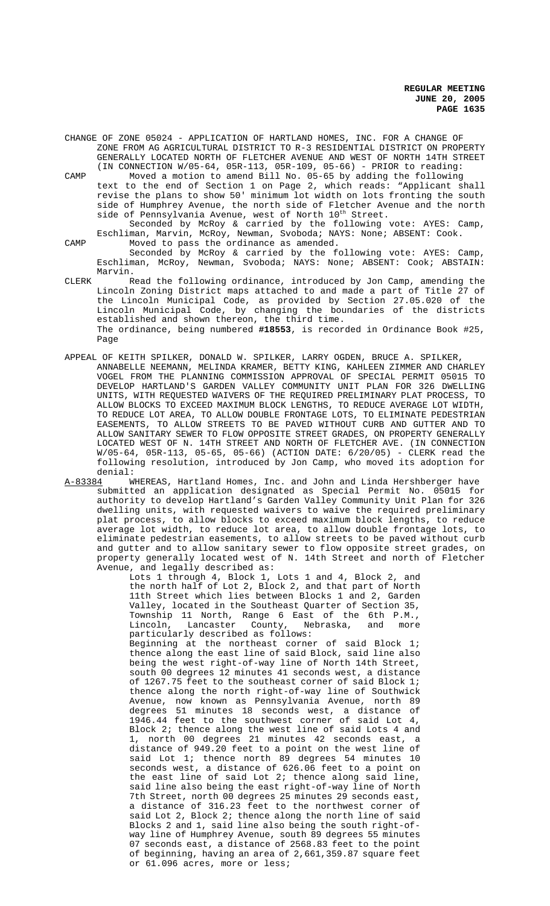CHANGE OF ZONE 05024 - APPLICATION OF HARTLAND HOMES, INC. FOR A CHANGE OF ZONE FROM AG AGRICULTURAL DISTRICT TO R-3 RESIDENTIAL DISTRICT ON PROPERTY GENERALLY LOCATED NORTH OF FLETCHER AVENUE AND WEST OF NORTH 14TH STREET (IN CONNECTION W/05-64, 05R-113, 05R-109, 05-66) - PRIOR to reading:

CAMP Moved a motion to amend Bill No. 05-65 by adding the following text to the end of Section 1 on Page 2, which reads: "Applicant shall revise the plans to show 50' minimum lot width on lots fronting the south side of Humphrey Avenue, the north side of Fletcher Avenue and the north side of Pennsylvania Avenue, west of North 10<sup>th</sup> Street.

Seconded by McRoy & carried by the following vote: AYES: Camp, Eschliman, Marvin, McRoy, Newman, Svoboda; NAYS: None; ABSENT: Cook. CAMP Moved to pass the ordinance as amended.

Seconded by McRoy & carried by the following vote: AYES: Camp, Eschliman, McRoy, Newman, Svoboda; NAYS: None; ABSENT: Cook; ABSTAIN: Marvin.

CLERK Read the following ordinance, introduced by Jon Camp, amending the Lincoln Zoning District maps attached to and made a part of Title 27 of the Lincoln Municipal Code, as provided by Section 27.05.020 of the Lincoln Municipal Code, by changing the boundaries of the districts established and shown thereon, the third time. The ordinance, being numbered **#18553**, is recorded in Ordinance Book #25, Page

APPEAL OF KEITH SPILKER, DONALD W. SPILKER, LARRY OGDEN, BRUCE A. SPILKER, ANNABELLE NEEMANN, MELINDA KRAMER, BETTY KING, KAHLEEN ZIMMER AND CHARLEY VOGEL FROM THE PLANNING COMMISSION APPROVAL OF SPECIAL PERMIT 05015 TO DEVELOP HARTLAND'S GARDEN VALLEY COMMUNITY UNIT PLAN FOR 326 DWELLING UNITS, WITH REQUESTED WAIVERS OF THE REQUIRED PRELIMINARY PLAT PROCESS, TO ALLOW BLOCKS TO EXCEED MAXIMUM BLOCK LENGTHS, TO REDUCE AVERAGE LOT WIDTH, TO REDUCE LOT AREA, TO ALLOW DOUBLE FRONTAGE LOTS, TO ELIMINATE PEDESTRIAN EASEMENTS, TO ALLOW STREETS TO BE PAVED WITHOUT CURB AND GUTTER AND TO ALLOW SANITARY SEWER TO FLOW OPPOSITE STREET GRADES, ON PROPERTY GENERALLY LOCATED WEST OF N. 14TH STREET AND NORTH OF FLETCHER AVE. (IN CONNECTION W/05-64, 05R-113, 05-65, 05-66) (ACTION DATE: 6/20/05) - CLERK read the following resolution, introduced by Jon Camp, who moved its adoption for

denial:<br>A-83384 W WHEREAS, Hartland Homes, Inc. and John and Linda Hershberger have submitted an application designated as Special Permit No. 05015 for authority to develop Hartland's Garden Valley Community Unit Plan for 326 dwelling units, with requested waivers to waive the required preliminary plat process, to allow blocks to exceed maximum block lengths, to reduce average lot width, to reduce lot area, to allow double frontage lots, to eliminate pedestrian easements, to allow streets to be paved without curb and gutter and to allow sanitary sewer to flow opposite street grades, on property generally located west of N. 14th Street and north of Fletcher Avenue, and legally described as:

Lots 1 through 4, Block 1, Lots 1 and 4, Block 2, and the north half of Lot 2, Block 2, and that part of North 11th Street which lies between Blocks 1 and 2, Garden Valley, located in the Southeast Quarter of Section 35, Township 11 North, Range 6 East of the 6th P.M., Lincoln, Lancaster County, Nebraska, and more particularly described as follows:

Beginning at the northeast corner of said Block 1; thence along the east line of said Block, said line also being the west right-of-way line of North 14th Street, south 00 degrees 12 minutes 41 seconds west, a distance of 1267.75 feet to the southeast corner of said Block 1; thence along the north right-of-way line of Southwick Avenue, now known as Pennsylvania Avenue, north 89 degrees 51 minutes 18 seconds west, a distance of 1946.44 feet to the southwest corner of said Lot 4, Block 2; thence along the west line of said Lots 4 and 1, north 00 degrees 21 minutes 42 seconds east, a distance of 949.20 feet to a point on the west line of said Lot 1; thence north 89 degrees 54 minutes 10 seconds west, a distance of 626.06 feet to a point on the east line of said Lot 2; thence along said line, said line also being the east right-of-way line of North 7th Street, north 00 degrees 25 minutes 29 seconds east, a distance of 316.23 feet to the northwest corner of said Lot 2, Block 2; thence along the north line of said Blocks 2 and 1, said line also being the south right-ofway line of Humphrey Avenue, south 89 degrees 55 minutes 07 seconds east, a distance of 2568.83 feet to the point of beginning, having an area of 2,661,359.87 square feet or 61.096 acres, more or less;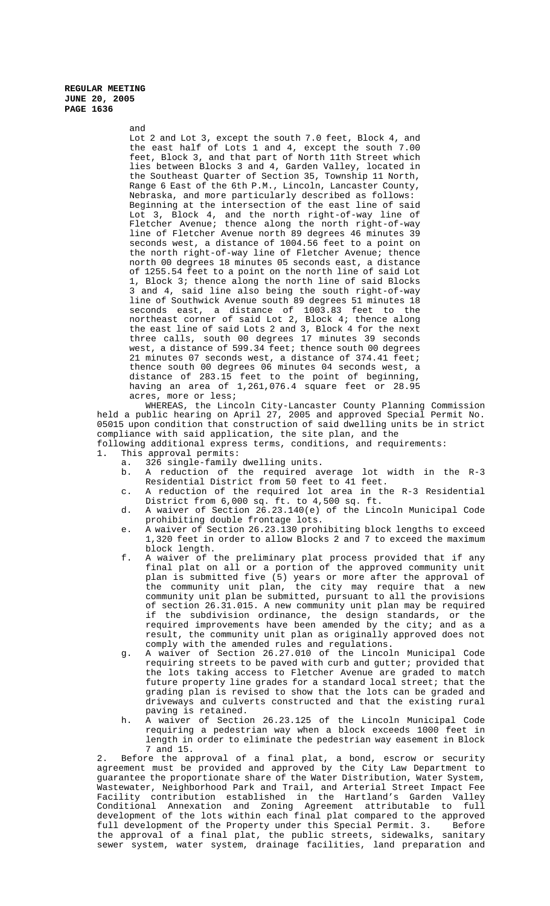> and Lot 2 and Lot 3, except the south 7.0 feet, Block 4, and the east half of Lots 1 and 4, except the south 7.00 feet, Block 3, and that part of North 11th Street which lies between Blocks 3 and 4, Garden Valley, located in the Southeast Quarter of Section 35, Township 11 North, Range 6 East of the 6th P.M., Lincoln, Lancaster County, Nebraska, and more particularly described as follows: Beginning at the intersection of the east line of said Lot 3, Block 4, and the north right-of-way line of Fletcher Avenue; thence along the north right-of-way line of Fletcher Avenue north 89 degrees 46 minutes 39 seconds west, a distance of 1004.56 feet to a point on the north right-of-way line of Fletcher Avenue; thence north 00 degrees 18 minutes 05 seconds east, a distance of 1255.54 feet to a point on the north line of said Lot 1, Block 3; thence along the north line of said Blocks 3 and 4, said line also being the south right-of-way line of Southwick Avenue south 89 degrees 51 minutes 18 seconds east, a distance of 1003.83 feet to the northeast corner of said Lot 2, Block 4; thence along the east line of said Lots 2 and 3, Block 4 for the next three calls, south 00 degrees 17 minutes 39 seconds west, a distance of 599.34 feet; thence south 00 degrees 21 minutes 07 seconds west, a distance of 374.41 feet; thence south 00 degrees 06 minutes 04 seconds west, a distance of 283.15 feet to the point of beginning, having an area of 1,261,076.4 square feet or 28.95 acres, more or less;

WHEREAS, the Lincoln City-Lancaster County Planning Commission held a public hearing on April 27, 2005 and approved Special Permit No. 05015 upon condition that construction of said dwelling units be in strict compliance with said application, the site plan, and the following additional express terms, conditions, and requirements:

- 1. This approval permits:
	- a. 326 single-family dwelling units.
	- b. A reduction of the required average lot width in the R-3 Residential District from 50 feet to 41 feet.
	- c. A reduction of the required lot area in the R-3 Residential District from 6,000 sq. ft. to 4,500 sq. ft.
	- d. A waiver of Section 26.23.140(e) of the Lincoln Municipal Code prohibiting double frontage lots.
	- e. A waiver of Section 26.23.130 prohibiting block lengths to exceed 1,320 feet in order to allow Blocks 2 and 7 to exceed the maximum block length.
	- f. A waiver of the preliminary plat process provided that if any final plat on all or a portion of the approved community unit plan is submitted five (5) years or more after the approval of the community unit plan, the city may require that a new community unit plan be submitted, pursuant to all the provisions of section 26.31.015. A new community unit plan may be required if the subdivision ordinance, the design standards, or the required improvements have been amended by the city; and as a result, the community unit plan as originally approved does not comply with the amended rules and regulations.
	- g. A waiver of Section 26.27.010 of the Lincoln Municipal Code requiring streets to be paved with curb and gutter; provided that the lots taking access to Fletcher Avenue are graded to match future property line grades for a standard local street; that the grading plan is revised to show that the lots can be graded and driveways and culverts constructed and that the existing rural paving is retained.
	- h. A waiver of Section 26.23.125 of the Lincoln Municipal Code requiring a pedestrian way when a block exceeds 1000 feet in length in order to eliminate the pedestrian way easement in Block 7 and 15.

2. Before the approval of a final plat, a bond, escrow or security agreement must be provided and approved by the City Law Department to guarantee the proportionate share of the Water Distribution, Water System, Wastewater, Neighborhood Park and Trail, and Arterial Street Impact Fee Facility contribution established in the Hartland's Garden Valley Conditional Annexation and Zoning Agreement attributable to full development of the lots within each final plat compared to the approved full development of the Property under this Special Permit. 3. Before the approval of a final plat, the public streets, sidewalks, sanitary sewer system, water system, drainage facilities, land preparation and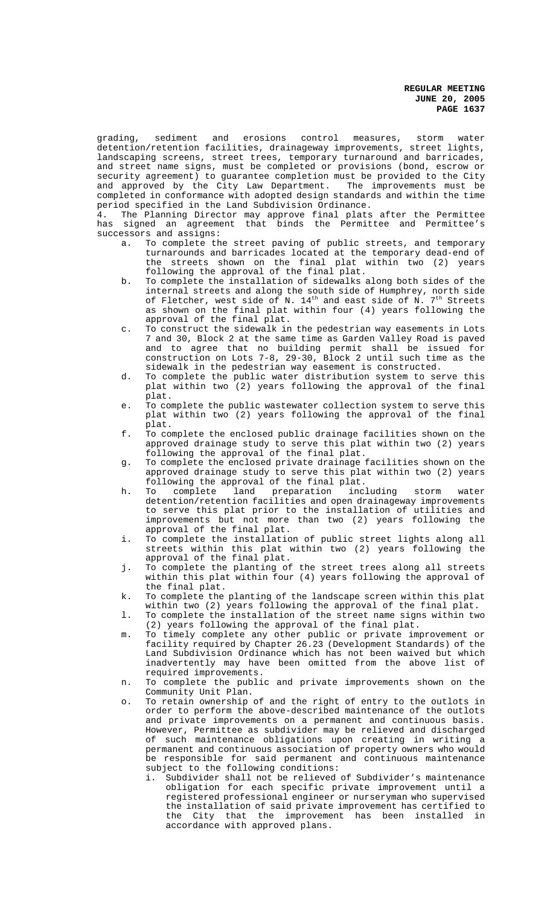grading, sediment and erosions control measures, storm water detention/retention facilities, drainageway improvements, street lights, landscaping screens, street trees, temporary turnaround and barricades, and street name signs, must be completed or provisions (bond, escrow or security agreement) to guarantee completion must be provided to the City and approved by the City Law Department. The improvements must be completed in conformance with adopted design standards and within the time period specified in the Land Subdivision Ordinance.

4. The Planning Director may approve final plats after the Permittee has signed an agreement that binds the Permittee and Permittee's successors and assigns:

- a. To complete the street paving of public streets, and temporary turnarounds and barricades located at the temporary dead-end of the streets shown on the final plat within two (2) years following the approval of the final plat.
- b. To complete the installation of sidewalks along both sides of the internal streets and along the south side of Humphrey, north side of Fletcher, west side of N.  $14^{\text{th}}$  and east side of N.  $7^{\text{th}}$  Streets as shown on the final plat within four (4) years following the approval of the final plat.
- c. To construct the sidewalk in the pedestrian way easements in Lots 7 and 30, Block 2 at the same time as Garden Valley Road is paved and to agree that no building permit shall be issued for construction on Lots 7-8, 29-30, Block 2 until such time as the sidewalk in the pedestrian way easement is constructed.
- d. To complete the public water distribution system to serve this plat within two (2) years following the approval of the final plat.
- e. To complete the public wastewater collection system to serve this plat within two (2) years following the approval of the final plat.
- f. To complete the enclosed public drainage facilities shown on the approved drainage study to serve this plat within two (2) years following the approval of the final plat.
- g. To complete the enclosed private drainage facilities shown on the approved drainage study to serve this plat within two (2) years
- following the approval of the final plat.<br>To complete land preparation including h. To complete land preparation including storm water detention/retention facilities and open drainageway improvements to serve this plat prior to the installation of utilities and improvements but not more than two (2) years following the approval of the final plat.
- i. To complete the installation of public street lights along all streets within this plat within two (2) years following the approval of the final plat.
- j. To complete the planting of the street trees along all streets within this plat within four (4) years following the approval of the final plat.
- k. To complete the planting of the landscape screen within this plat within two (2) years following the approval of the final plat.
- l. To complete the installation of the street name signs within two (2) years following the approval of the final plat.
- m. To timely complete any other public or private improvement or facility required by Chapter 26.23 (Development Standards) of the Land Subdivision Ordinance which has not been waived but which inadvertently may have been omitted from the above list of required improvements.
- n. To complete the public and private improvements shown on the Community Unit Plan.
- o. To retain ownership of and the right of entry to the outlots in order to perform the above-described maintenance of the outlots and private improvements on a permanent and continuous basis. However, Permittee as subdivider may be relieved and discharged of such maintenance obligations upon creating in writing a permanent and continuous association of property owners who would be responsible for said permanent and continuous maintenance subject to the following conditions:
	- i. Subdivider shall not be relieved of Subdivider's maintenance obligation for each specific private improvement until a registered professional engineer or nurseryman who supervised the installation of said private improvement has certified to the City that the improvement has been installed in accordance with approved plans.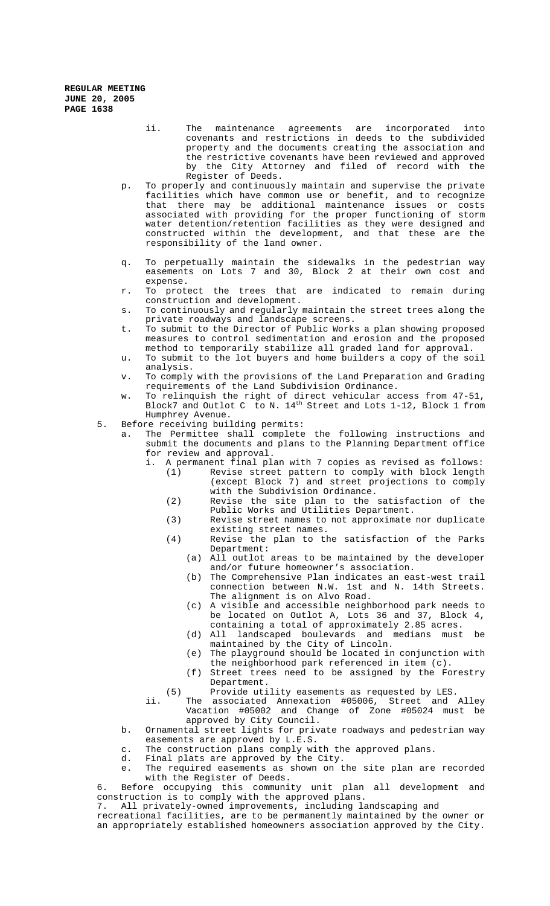- ii. The maintenance agreements are incorporated into covenants and restrictions in deeds to the subdivided property and the documents creating the association and the restrictive covenants have been reviewed and approved by the City Attorney and filed of record with the Register of Deeds.
- p. To properly and continuously maintain and supervise the private facilities which have common use or benefit, and to recognize that there may be additional maintenance issues or costs associated with providing for the proper functioning of storm water detention/retention facilities as they were designed and constructed within the development, and that these are the responsibility of the land owner.
- q. To perpetually maintain the sidewalks in the pedestrian way easements on Lots 7 and 30, Block 2 at their own cost and expense.
- r. To protect the trees that are indicated to remain during construction and development.
- s. To continuously and regularly maintain the street trees along the private roadways and landscape screens.
- t. To submit to the Director of Public Works a plan showing proposed measures to control sedimentation and erosion and the proposed method to temporarily stabilize all graded land for approval.
- u. To submit to the lot buyers and home builders a copy of the soil analysis.
- v. To comply with the provisions of the Land Preparation and Grading requirements of the Land Subdivision Ordinance.
- w. To relinquish the right of direct vehicular access from 47-51, Block7 and Outlot C to N. 14th Street and Lots 1-12, Block 1 from Humphrey Avenue.
- 5. Before receiving building permits:
	- The Permittee shall complete the following instructions and submit the documents and plans to the Planning Department office for review and approval.
		- i. A permanent final plan with 7 copies as revised as follows:
			- (1) Revise street pattern to comply with block length (except Block 7) and street projections to comply with the Subdivision Ordinance.
			- (2) Revise the site plan to the satisfaction of the Public Works and Utilities Department.
			- (3) Revise street names to not approximate nor duplicate existing street names.
			- (4) Revise the plan to the satisfaction of the Parks Department:
				- (a) All outlot areas to be maintained by the developer and/or future homeowner's association.
				- (b) The Comprehensive Plan indicates an east-west trail connection between N.W. 1st and N. 14th Streets. The alignment is on Alvo Road.
				- (c) A visible and accessible neighborhood park needs to be located on Outlot A, Lots 36 and 37, Block 4, containing a total of approximately 2.85 acres.
				- (d) All landscaped boulevards and medians must be maintained by the City of Lincoln.
				- (e) The playground should be located in conjunction with the neighborhood park referenced in item (c).
				- (f) Street trees need to be assigned by the Forestry Department.
			- (5) Provide utility easements as requested by LES.
			- ii. The associated Annexation #05006, Street and Alley Vacation #05002 and Change of Zone #05024 must be approved by City Council.
	- b. Ornamental street lights for private roadways and pedestrian way easements are approved by L.E.S.
	- c. The construction plans comply with the approved plans.
	- d. Final plats are approved by the City.
	- e. The required easements as shown on the site plan are recorded with the Register of Deeds.

6. Before occupying this community unit plan all development and construction is to comply with the approved plans.

7. All privately-owned improvements, including landscaping and

recreational facilities, are to be permanently maintained by the owner or an appropriately established homeowners association approved by the City.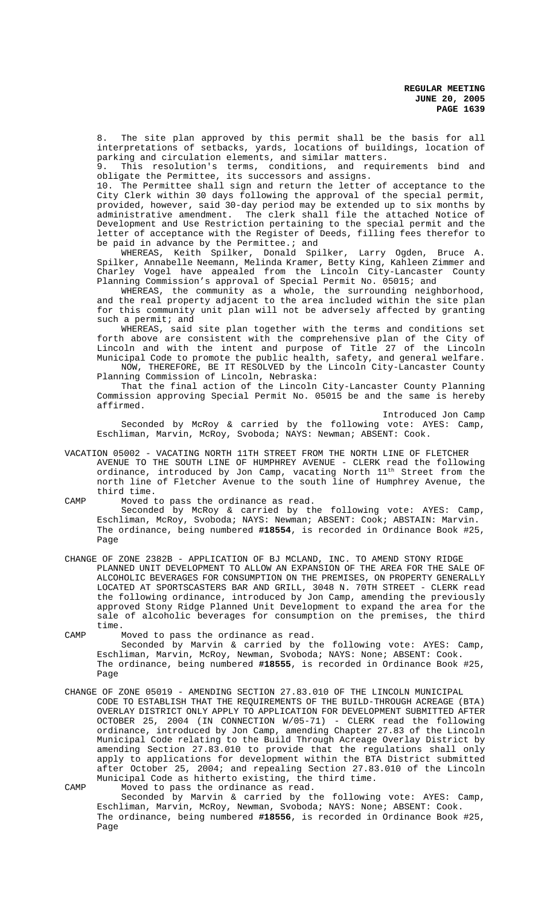8. The site plan approved by this permit shall be the basis for all interpretations of setbacks, yards, locations of buildings, location of parking and circulation elements, and similar matters.

9. This resolution's terms, conditions, and requirements bind and obligate the Permittee, its successors and assigns.

10. The Permittee shall sign and return the letter of acceptance to the City Clerk within 30 days following the approval of the special permit, provided, however, said 30-day period may be extended up to six months by administrative amendment. The clerk shall file the attached Notice of Development and Use Restriction pertaining to the special permit and the letter of acceptance with the Register of Deeds, filling fees therefor to be paid in advance by the Permittee.; and

WHEREAS, Keith Spilker, Donald Spilker, Larry Ogden, Bruce A. Spilker, Annabelle Neemann, Melinda Kramer, Betty King, Kahleen Zimmer and Charley Vogel have appealed from the Lincoln City-Lancaster County Planning Commission's approval of Special Permit No. 05015; and

WHEREAS, the community as a whole, the surrounding neighborhood, and the real property adjacent to the area included within the site plan for this community unit plan will not be adversely affected by granting such a permit; and

WHEREAS, said site plan together with the terms and conditions set forth above are consistent with the comprehensive plan of the City of Lincoln and with the intent and purpose of Title 27 of the Lincoln Municipal Code to promote the public health, safety, and general welfare. NOW, THEREFORE, BE IT RESOLVED by the Lincoln City-Lancaster County

Planning Commission of Lincoln, Nebraska: That the final action of the Lincoln City-Lancaster County Planning Commission approving Special Permit No. 05015 be and the same is hereby affirmed.

Introduced Jon Camp Seconded by McRoy & carried by the following vote: AYES: Camp, Eschliman, Marvin, McRoy, Svoboda; NAYS: Newman; ABSENT: Cook.

VACATION 05002 - VACATING NORTH 11TH STREET FROM THE NORTH LINE OF FLETCHER AVENUE TO THE SOUTH LINE OF HUMPHREY AVENUE - CLERK read the following ordinance, introduced by Jon Camp, vacating North 11th Street from the north line of Fletcher Avenue to the south line of Humphrey Avenue, the third time.

CAMP Moved to pass the ordinance as read.

Seconded by McRoy & carried by the following vote: AYES: Camp, Eschliman, McRoy, Svoboda; NAYS: Newman; ABSENT: Cook; ABSTAIN: Marvin. The ordinance, being numbered **#18554**, is recorded in Ordinance Book #25, Page

CHANGE OF ZONE 2382B - APPLICATION OF BJ MCLAND, INC. TO AMEND STONY RIDGE PLANNED UNIT DEVELOPMENT TO ALLOW AN EXPANSION OF THE AREA FOR THE SALE OF ALCOHOLIC BEVERAGES FOR CONSUMPTION ON THE PREMISES, ON PROPERTY GENERALLY LOCATED AT SPORTSCASTERS BAR AND GRILL, 3048 N. 70TH STREET - CLERK read the following ordinance, introduced by Jon Camp, amending the previously approved Stony Ridge Planned Unit Development to expand the area for the sale of alcoholic beverages for consumption on the premises, the third time.

CAMP Moved to pass the ordinance as read. Seconded by Marvin & carried by the following vote: AYES: Camp, Eschliman, Marvin, McRoy, Newman, Svoboda; NAYS: None; ABSENT: Cook. The ordinance, being numbered **#18555**, is recorded in Ordinance Book #25, Page

CHANGE OF ZONE 05019 - AMENDING SECTION 27.83.010 OF THE LINCOLN MUNICIPAL CODE TO ESTABLISH THAT THE REQUIREMENTS OF THE BUILD-THROUGH ACREAGE (BTA) OVERLAY DISTRICT ONLY APPLY TO APPLICATION FOR DEVELOPMENT SUBMITTED AFTER OCTOBER 25, 2004 (IN CONNECTION W/05-71) - CLERK read the following ordinance, introduced by Jon Camp, amending Chapter 27.83 of the Lincoln Municipal Code relating to the Build Through Acreage Overlay District by amending Section 27.83.010 to provide that the regulations shall only apply to applications for development within the BTA District submitted after October 25, 2004; and repealing Section 27.83.010 of the Lincoln Municipal Code as hitherto existing, the third time.

CAMP Moved to pass the ordinance as read.

Seconded by Marvin & carried by the following vote: AYES: Camp, Eschliman, Marvin, McRoy, Newman, Svoboda; NAYS: None; ABSENT: Cook. The ordinance, being numbered **#18556**, is recorded in Ordinance Book #25, Page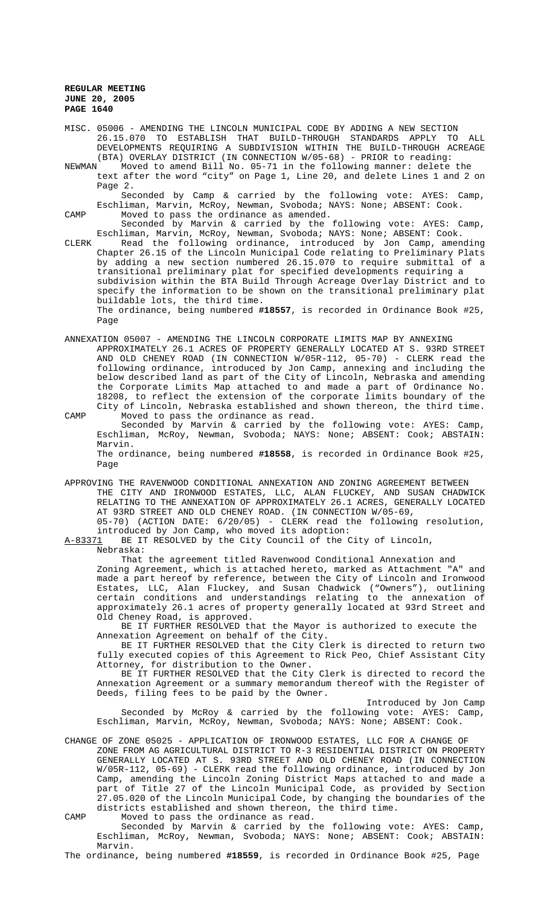MISC. 05006 - AMENDING THE LINCOLN MUNICIPAL CODE BY ADDING A NEW SECTION 26.15.070 TO ESTABLISH THAT BUILD-THROUGH STANDARDS APPLY TO ALL DEVELOPMENTS REQUIRING A SUBDIVISION WITHIN THE BUILD-THROUGH ACREAGE

(BTA) OVERLAY DISTRICT (IN CONNECTION  $W/05-68$ ) - PRIOR to reading:<br>NEWMAN Moved to amend Bill No. 05-71 in the following manner: delete Moved to amend Bill No. 05-71 in the following manner: delete the text after the word "city" on Page 1, Line 20, and delete Lines 1 and 2 on Page 2.

Seconded by Camp & carried by the following vote: AYES: Camp, Eschliman, Marvin, McRoy, Newman, Svoboda; NAYS: None; ABSENT: Cook. CAMP Moved to pass the ordinance as amended.

Seconded by Marvin & carried by the following vote: AYES: Camp, Eschliman, Marvin, McRoy, Newman, Svoboda; NAYS: None; ABSENT: Cook.

CLERK Read the following ordinance, introduced by Jon Camp, amending Chapter 26.15 of the Lincoln Municipal Code relating to Preliminary Plats by adding a new section numbered 26.15.070 to require submittal of a transitional preliminary plat for specified developments requiring a subdivision within the BTA Build Through Acreage Overlay District and to specify the information to be shown on the transitional preliminary plat buildable lots, the third time. The ordinance, being numbered **#18557**, is recorded in Ordinance Book #25, Page

ANNEXATION 05007 - AMENDING THE LINCOLN CORPORATE LIMITS MAP BY ANNEXING APPROXIMATELY 26.1 ACRES OF PROPERTY GENERALLY LOCATED AT S. 93RD STREET AND OLD CHENEY ROAD (IN CONNECTION W/05R-112, 05-70) - CLERK read the following ordinance, introduced by Jon Camp, annexing and including the below described land as part of the City of Lincoln, Nebraska and amending the Corporate Limits Map attached to and made a part of Ordinance No. 18208, to reflect the extension of the corporate limits boundary of the City of Lincoln, Nebraska established and shown thereon, the third time.

CAMP Moved to pass the ordinance as read. Seconded by Marvin & carried by the following vote: AYES: Camp, Eschliman, McRoy, Newman, Svoboda; NAYS: None; ABSENT: Cook; ABSTAIN: Marvin. The ordinance, being numbered **#18558**, is recorded in Ordinance Book #25, Page

APPROVING THE RAVENWOOD CONDITIONAL ANNEXATION AND ZONING AGREEMENT BETWEEN THE CITY AND IRONWOOD ESTATES, LLC, ALAN FLUCKEY, AND SUSAN CHADWICK RELATING TO THE ANNEXATION OF APPROXIMATELY 26.1 ACRES, GENERALLY LOCATED AT 93RD STREET AND OLD CHENEY ROAD. (IN CONNECTION W/05-69, 05-70) (ACTION DATE: 6/20/05) - CLERK read the following resolution,

introduced by Jon Camp, who moved its adoption:<br>A-83371 BE IT RESOLVED by the City Council of the O BE IT RESOLVED by the City Council of the City of Lincoln,

Nebraska:

That the agreement titled Ravenwood Conditional Annexation and Zoning Agreement, which is attached hereto, marked as Attachment "A" and made a part hereof by reference, between the City of Lincoln and Ironwood Estates, LLC, Alan Fluckey, and Susan Chadwick ("Owners"), outlining certain conditions and understandings relating to the annexation of approximately 26.1 acres of property generally located at 93rd Street and Old Cheney Road, is approved.

BE IT FURTHER RESOLVED that the Mayor is authorized to execute the Annexation Agreement on behalf of the City.

BE IT FURTHER RESOLVED that the City Clerk is directed to return two fully executed copies of this Agreement to Rick Peo, Chief Assistant City Attorney, for distribution to the Owner.

BE IT FURTHER RESOLVED that the City Clerk is directed to record the Annexation Agreement or a summary memorandum thereof with the Register of Deeds, filing fees to be paid by the Owner.

Introduced by Jon Camp Seconded by McRoy & carried by the following vote: AYES: Camp, Eschliman, Marvin, McRoy, Newman, Svoboda; NAYS: None; ABSENT: Cook.

CHANGE OF ZONE 05025 - APPLICATION OF IRONWOOD ESTATES, LLC FOR A CHANGE OF ZONE FROM AG AGRICULTURAL DISTRICT TO R-3 RESIDENTIAL DISTRICT ON PROPERTY GENERALLY LOCATED AT S. 93RD STREET AND OLD CHENEY ROAD (IN CONNECTION W/05R-112, 05-69) - CLERK read the following ordinance, introduced by Jon Camp, amending the Lincoln Zoning District Maps attached to and made a part of Title 27 of the Lincoln Municipal Code, as provided by Section 27.05.020 of the Lincoln Municipal Code, by changing the boundaries of the districts established and shown thereon, the third time.

CAMP Moved to pass the ordinance as read.

Seconded by Marvin & carried by the following vote: AYES: Camp, Eschliman, McRoy, Newman, Svoboda; NAYS: None; ABSENT: Cook; ABSTAIN: Marvin.

The ordinance, being numbered **#18559**, is recorded in Ordinance Book #25, Page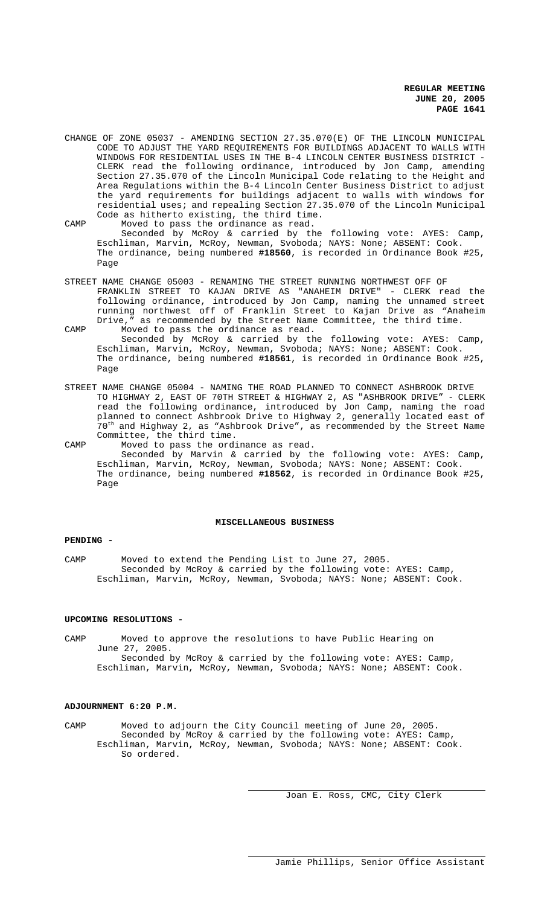- CHANGE OF ZONE 05037 AMENDING SECTION 27.35.070(E) OF THE LINCOLN MUNICIPAL CODE TO ADJUST THE YARD REQUIREMENTS FOR BUILDINGS ADJACENT TO WALLS WITH WINDOWS FOR RESIDENTIAL USES IN THE B-4 LINCOLN CENTER BUSINESS DISTRICT - CLERK read the following ordinance, introduced by Jon Camp, amending Section 27.35.070 of the Lincoln Municipal Code relating to the Height and Area Regulations within the B-4 Lincoln Center Business District to adjust the yard requirements for buildings adjacent to walls with windows for residential uses; and repealing Section 27.35.070 of the Lincoln Municipal Code as hitherto existing, the third time.
- CAMP Moved to pass the ordinance as read. Seconded by McRoy & carried by the following vote: AYES: Camp, Eschliman, Marvin, McRoy, Newman, Svoboda; NAYS: None; ABSENT: Cook. The ordinance, being numbered **#18560**, is recorded in Ordinance Book #25, Page
- STREET NAME CHANGE 05003 RENAMING THE STREET RUNNING NORTHWEST OFF OF FRANKLIN STREET TO KAJAN DRIVE AS "ANAHEIM DRIVE" - CLERK read the following ordinance, introduced by Jon Camp, naming the unnamed street running northwest off of Franklin Street to Kajan Drive as "Anaheim<br>Drive." as recommended by the Street Name Committee. the third time. as recommended by the Street Name Committee, the third time.
- CAMP Moved to pass the ordinance as read. Seconded by McRoy & carried by the following vote: AYES: Camp, Eschliman, Marvin, McRoy, Newman, Svoboda; NAYS: None; ABSENT: Cook. The ordinance, being numbered **#18561**, is recorded in Ordinance Book #25, Page
- STREET NAME CHANGE 05004 NAMING THE ROAD PLANNED TO CONNECT ASHBROOK DRIVE TO HIGHWAY 2, EAST OF 70TH STREET & HIGHWAY 2, AS "ASHBROOK DRIVE" - CLERK read the following ordinance, introduced by Jon Camp, naming the road planned to connect Ashbrook Drive to Highway 2, generally located east of 70<sup>th</sup> and Highway 2, as "Ashbrook Drive", as recommended by the Street Name Committee, the third time.
- CAMP Moved to pass the ordinance as read. Seconded by Marvin & carried by the following vote: AYES: Camp, Eschliman, Marvin, McRoy, Newman, Svoboda; NAYS: None; ABSENT: Cook. The ordinance, being numbered **#18562**, is recorded in Ordinance Book #25, Page

#### **MISCELLANEOUS BUSINESS**

## **PENDING -**

CAMP Moved to extend the Pending List to June 27, 2005. Seconded by McRoy & carried by the following vote: AYES: Camp, Eschliman, Marvin, McRoy, Newman, Svoboda; NAYS: None; ABSENT: Cook.

### **UPCOMING RESOLUTIONS -**

CAMP Moved to approve the resolutions to have Public Hearing on June 27, 2005. Seconded by McRoy & carried by the following vote: AYES: Camp, Eschliman, Marvin, McRoy, Newman, Svoboda; NAYS: None; ABSENT: Cook.

#### **ADJOURNMENT 6:20 P.M.**

CAMP Moved to adjourn the City Council meeting of June 20, 2005. Seconded by McRoy & carried by the following vote: AYES: Camp, Eschliman, Marvin, McRoy, Newman, Svoboda; NAYS: None; ABSENT: Cook. So ordered.

Joan E. Ross, CMC, City Clerk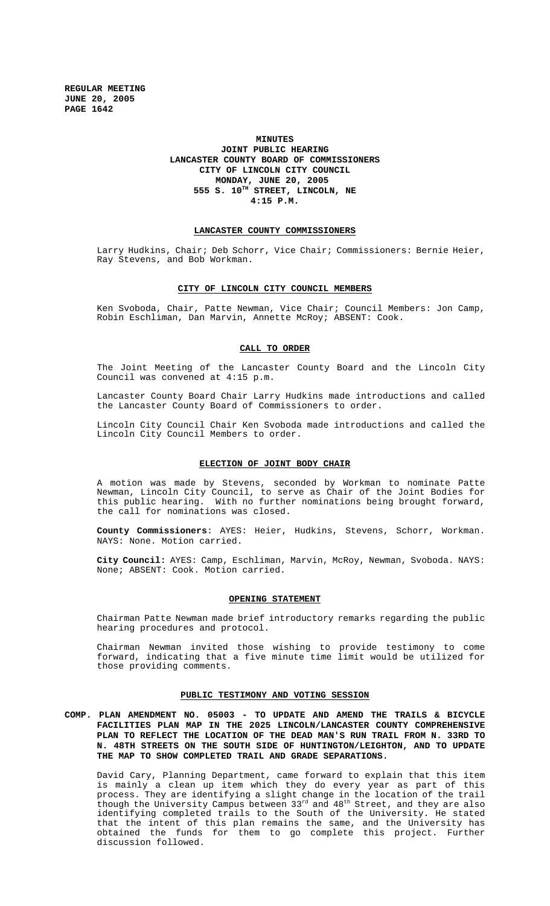## **MINUTES JOINT PUBLIC HEARING LANCASTER COUNTY BOARD OF COMMISSIONERS CITY OF LINCOLN CITY COUNCIL MONDAY, JUNE 20, 2005 555 S. 10TH STREET, LINCOLN, NE 4:15 P.M.**

#### **LANCASTER COUNTY COMMISSIONERS**

Larry Hudkins, Chair; Deb Schorr, Vice Chair; Commissioners: Bernie Heier, Ray Stevens, and Bob Workman.

#### **CITY OF LINCOLN CITY COUNCIL MEMBERS**

Ken Svoboda, Chair, Patte Newman, Vice Chair; Council Members: Jon Camp, Robin Eschliman, Dan Marvin, Annette McRoy; ABSENT: Cook.

## **CALL TO ORDER**

The Joint Meeting of the Lancaster County Board and the Lincoln City Council was convened at 4:15 p.m.

Lancaster County Board Chair Larry Hudkins made introductions and called the Lancaster County Board of Commissioners to order.

Lincoln City Council Chair Ken Svoboda made introductions and called the Lincoln City Council Members to order.

#### **ELECTION OF JOINT BODY CHAIR**

A motion was made by Stevens, seconded by Workman to nominate Patte Newman, Lincoln City Council, to serve as Chair of the Joint Bodies for this public hearing. With no further nominations being brought forward, the call for nominations was closed.

**County Commissioners**: AYES: Heier, Hudkins, Stevens, Schorr, Workman. NAYS: None. Motion carried.

**City Council:** AYES: Camp, Eschliman, Marvin, McRoy, Newman, Svoboda. NAYS: None; ABSENT: Cook. Motion carried.

#### **OPENING STATEMENT**

Chairman Patte Newman made brief introductory remarks regarding the public hearing procedures and protocol.

Chairman Newman invited those wishing to provide testimony to come forward, indicating that a five minute time limit would be utilized for those providing comments.

#### **PUBLIC TESTIMONY AND VOTING SESSION**

**COMP. PLAN AMENDMENT NO. 05003 - TO UPDATE AND AMEND THE TRAILS & BICYCLE FACILITIES PLAN MAP IN THE 2025 LINCOLN/LANCASTER COUNTY COMPREHENSIVE PLAN TO REFLECT THE LOCATION OF THE DEAD MAN'S RUN TRAIL FROM N. 33RD TO N. 48TH STREETS ON THE SOUTH SIDE OF HUNTINGTON/LEIGHTON, AND TO UPDATE THE MAP TO SHOW COMPLETED TRAIL AND GRADE SEPARATIONS.**

David Cary, Planning Department, came forward to explain that this item is mainly a clean up item which they do every year as part of this process. They are identifying a slight change in the location of the trail though the University Campus between 33rd and 48<sup>th</sup> Street, and they are also identifying completed trails to the South of the University. He stated that the intent of this plan remains the same, and the University has obtained the funds for them to go complete this project. Further discussion followed.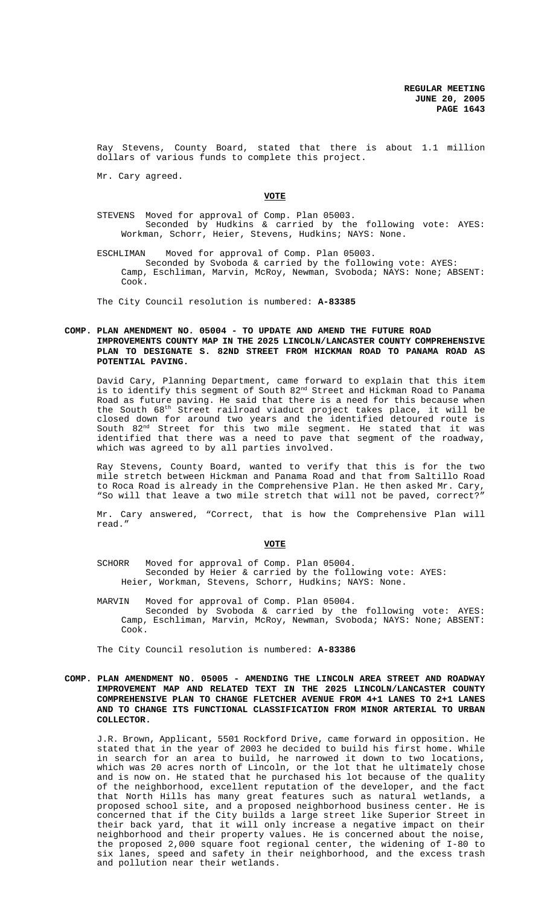Ray Stevens, County Board, stated that there is about 1.1 million dollars of various funds to complete this project.

Mr. Cary agreed.

### **VOTE**

STEVENS Moved for approval of Comp. Plan 05003. Seconded by Hudkins & carried by the following vote: AYES: Workman, Schorr, Heier, Stevens, Hudkins; NAYS: None.

ESCHLIMAN Moved for approval of Comp. Plan 05003. Seconded by Svoboda & carried by the following vote: AYES: Camp, Eschliman, Marvin, McRoy, Newman, Svoboda; NAYS: None; ABSENT: Cook.

The City Council resolution is numbered: **A-83385**

## **COMP. PLAN AMENDMENT NO. 05004 - TO UPDATE AND AMEND THE FUTURE ROAD IMPROVEMENTS COUNTY MAP IN THE 2025 LINCOLN/LANCASTER COUNTY COMPREHENSIVE PLAN TO DESIGNATE S. 82ND STREET FROM HICKMAN ROAD TO PANAMA ROAD AS POTENTIAL PAVING.**

David Cary, Planning Department, came forward to explain that this item is to identify this segment of South 82nd Street and Hickman Road to Panama Road as future paving. He said that there is a need for this because when the South 68<sup>th</sup> Street railroad viaduct project takes place, it will be closed down for around two years and the identified detoured route is South 82<sup>nd</sup> Street for this two mile segment. He stated that it was identified that there was a need to pave that segment of the roadway, which was agreed to by all parties involved.

Ray Stevens, County Board, wanted to verify that this is for the two mile stretch between Hickman and Panama Road and that from Saltillo Road to Roca Road is already in the Comprehensive Plan. He then asked Mr. Cary, "So will that leave a two mile stretch that will not be paved, correct?"

Mr. Cary answered, "Correct, that is how the Comprehensive Plan will read."

#### **VOTE**

- SCHORR Moved for approval of Comp. Plan 05004. Seconded by Heier & carried by the following vote: AYES: Heier, Workman, Stevens, Schorr, Hudkins; NAYS: None.
- MARVIN Moved for approval of Comp. Plan 05004. Seconded by Svoboda & carried by the following vote: AYES: Camp, Eschliman, Marvin, McRoy, Newman, Svoboda; NAYS: None; ABSENT: Cook.

The City Council resolution is numbered: **A-83386**

**COMP. PLAN AMENDMENT NO. 05005 - AMENDING THE LINCOLN AREA STREET AND ROADWAY IMPROVEMENT MAP AND RELATED TEXT IN THE 2025 LINCOLN/LANCASTER COUNTY COMPREHENSIVE PLAN TO CHANGE FLETCHER AVENUE FROM 4+1 LANES TO 2+1 LANES AND TO CHANGE ITS FUNCTIONAL CLASSIFICATION FROM MINOR ARTERIAL TO URBAN COLLECTOR.**

J.R. Brown, Applicant, 5501 Rockford Drive, came forward in opposition. He stated that in the year of 2003 he decided to build his first home. While in search for an area to build, he narrowed it down to two locations, which was 20 acres north of Lincoln, or the lot that he ultimately chose and is now on. He stated that he purchased his lot because of the quality of the neighborhood, excellent reputation of the developer, and the fact that North Hills has many great features such as natural wetlands, a proposed school site, and a proposed neighborhood business center. He is concerned that if the City builds a large street like Superior Street in their back yard, that it will only increase a negative impact on their neighborhood and their property values. He is concerned about the noise, the proposed 2,000 square foot regional center, the widening of I-80 to six lanes, speed and safety in their neighborhood, and the excess trash and pollution near their wetlands.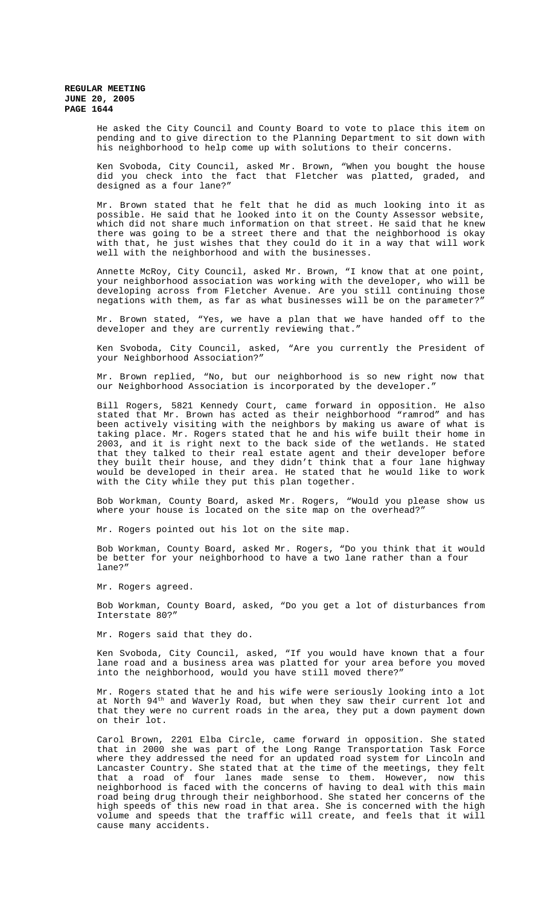> He asked the City Council and County Board to vote to place this item on pending and to give direction to the Planning Department to sit down with his neighborhood to help come up with solutions to their concerns.

> Ken Svoboda, City Council, asked Mr. Brown, "When you bought the house did you check into the fact that Fletcher was platted, graded, and designed as a four lane?"

> Mr. Brown stated that he felt that he did as much looking into it as possible. He said that he looked into it on the County Assessor website, which did not share much information on that street. He said that he knew there was going to be a street there and that the neighborhood is okay with that, he just wishes that they could do it in a way that will work well with the neighborhood and with the businesses.

> Annette McRoy, City Council, asked Mr. Brown, "I know that at one point, your neighborhood association was working with the developer, who will be developing across from Fletcher Avenue. Are you still continuing those negations with them, as far as what businesses will be on the parameter?"

> Mr. Brown stated, "Yes, we have a plan that we have handed off to the developer and they are currently reviewing that."

> Ken Svoboda, City Council, asked, "Are you currently the President of your Neighborhood Association?"

> Mr. Brown replied, "No, but our neighborhood is so new right now that our Neighborhood Association is incorporated by the developer.'

> Bill Rogers, 5821 Kennedy Court, came forward in opposition. He also stated that Mr. Brown has acted as their neighborhood "ramrod" and has been actively visiting with the neighbors by making us aware of what is taking place. Mr. Rogers stated that he and his wife built their home in 2003, and it is right next to the back side of the wetlands. He stated that they talked to their real estate agent and their developer before they built their house, and they didn't think that a four lane highway would be developed in their area. He stated that he would like to work with the City while they put this plan together.

> Bob Workman, County Board, asked Mr. Rogers, "Would you please show us where your house is located on the site map on the overhead?"

Mr. Rogers pointed out his lot on the site map.

Bob Workman, County Board, asked Mr. Rogers, "Do you think that it would be better for your neighborhood to have a two lane rather than a four lane?"

Mr. Rogers agreed.

Bob Workman, County Board, asked, "Do you get a lot of disturbances from Interstate 80?"

Mr. Rogers said that they do.

Ken Svoboda, City Council, asked, "If you would have known that a four lane road and a business area was platted for your area before you moved into the neighborhood, would you have still moved there?"

Mr. Rogers stated that he and his wife were seriously looking into a lot at North 94<sup>th</sup> and Waverly Road, but when they saw their current lot and that they were no current roads in the area, they put a down payment down on their lot.

 Carol Brown, 2201 Elba Circle, came forward in opposition. She stated that in 2000 she was part of the Long Range Transportation Task Force where they addressed the need for an updated road system for Lincoln and Lancaster Country. She stated that at the time of the meetings, they felt that a road of four lanes made sense to them. However, now this neighborhood is faced with the concerns of having to deal with this main road being drug through their neighborhood. She stated her concerns of the high speeds of this new road in that area. She is concerned with the high volume and speeds that the traffic will create, and feels that it will cause many accidents.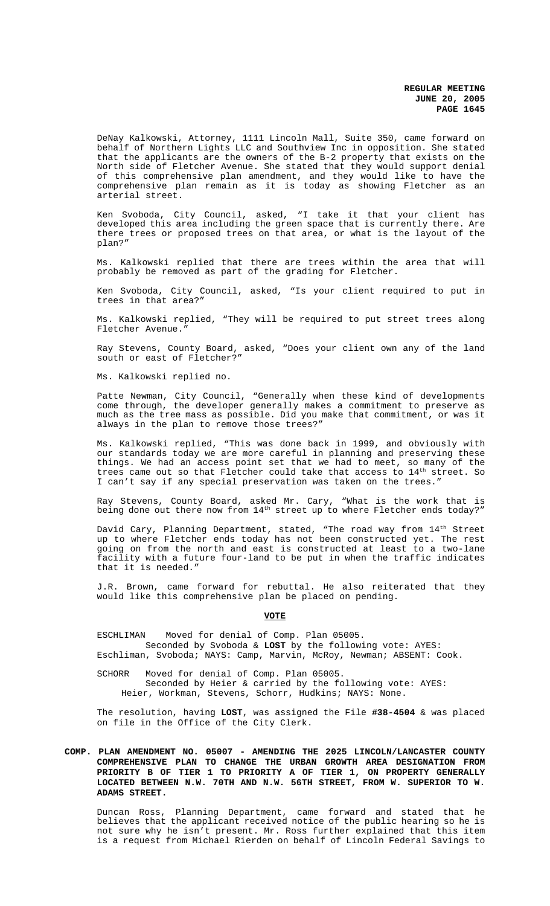DeNay Kalkowski, Attorney, 1111 Lincoln Mall, Suite 350, came forward on behalf of Northern Lights LLC and Southview Inc in opposition. She stated that the applicants are the owners of the B-2 property that exists on the North side of Fletcher Avenue. She stated that they would support denial of this comprehensive plan amendment, and they would like to have the comprehensive plan remain as it is today as showing Fletcher as an arterial street.

Ken Svoboda, City Council, asked, "I take it that your client has developed this area including the green space that is currently there. Are there trees or proposed trees on that area, or what is the layout of the plan?"

Ms. Kalkowski replied that there are trees within the area that will probably be removed as part of the grading for Fletcher.

Ken Svoboda, City Council, asked, "Is your client required to put in trees in that area?"

Ms. Kalkowski replied, "They will be required to put street trees along Fletcher Avenue."

Ray Stevens, County Board, asked, "Does your client own any of the land south or east of Fletcher?"

Ms. Kalkowski replied no.

Patte Newman, City Council, "Generally when these kind of developments come through, the developer generally makes a commitment to preserve as much as the tree mass as possible. Did you make that commitment, or was it always in the plan to remove those trees?"

Ms. Kalkowski replied, "This was done back in 1999, and obviously with our standards today we are more careful in planning and preserving these things. We had an access point set that we had to meet, so many of the trees came out so that Fletcher could take that access to  $14^{\text{th}}$  street. So I can't say if any special preservation was taken on the trees."

Ray Stevens, County Board, asked Mr. Cary, "What is the work that is being done out there now from 14<sup>th</sup> street up to where Fletcher ends today?"

David Cary, Planning Department, stated, "The road way from  $14^{\rm th}$  Street up to where Fletcher ends today has not been constructed yet. The rest going on from the north and east is constructed at least to a two-lane facility with a future four-land to be put in when the traffic indicates that it is needed."

J.R. Brown, came forward for rebuttal. He also reiterated that they would like this comprehensive plan be placed on pending.

**VOTE**

ESCHLIMAN Moved for denial of Comp. Plan 05005. Seconded by Svoboda & **LOST** by the following vote: AYES: Eschliman, Svoboda; NAYS: Camp, Marvin, McRoy, Newman; ABSENT: Cook.

SCHORR Moved for denial of Comp. Plan 05005. Seconded by Heier & carried by the following vote: AYES: Heier, Workman, Stevens, Schorr, Hudkins; NAYS: None.

The resolution, having **LOST**, was assigned the File **#38-4504** & was placed on file in the Office of the City Clerk.

## **COMP. PLAN AMENDMENT NO. 05007 - AMENDING THE 2025 LINCOLN/LANCASTER COUNTY COMPREHENSIVE PLAN TO CHANGE THE URBAN GROWTH AREA DESIGNATION FROM PRIORITY B OF TIER 1 TO PRIORITY A OF TIER 1, ON PROPERTY GENERALLY LOCATED BETWEEN N.W. 70TH AND N.W. 56TH STREET, FROM W. SUPERIOR TO W. ADAMS STREET.**

Duncan Ross, Planning Department, came forward and stated that he believes that the applicant received notice of the public hearing so he is not sure why he isn't present. Mr. Ross further explained that this item is a request from Michael Rierden on behalf of Lincoln Federal Savings to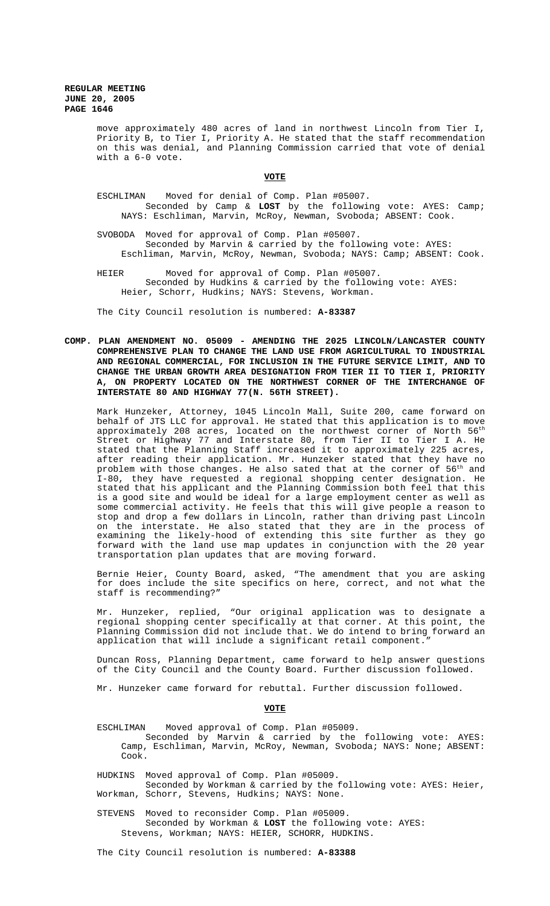> move approximately 480 acres of land in northwest Lincoln from Tier I, Priority B, to Tier I, Priority A. He stated that the staff recommendation on this was denial, and Planning Commission carried that vote of denial with a 6-0 vote.

> > **VOTE**

- ESCHLIMAN Moved for denial of Comp. Plan #05007. Seconded by Camp & **LOST** by the following vote: AYES: Camp; NAYS: Eschliman, Marvin, McRoy, Newman, Svoboda; ABSENT: Cook.
- SVOBODA Moved for approval of Comp. Plan #05007. Seconded by Marvin & carried by the following vote: AYES: Eschliman, Marvin, McRoy, Newman, Svoboda; NAYS: Camp; ABSENT: Cook.
- HEIER Moved for approval of Comp. Plan #05007. Seconded by Hudkins & carried by the following vote: AYES: Heier, Schorr, Hudkins; NAYS: Stevens, Workman.

The City Council resolution is numbered: **A-83387**

**COMP. PLAN AMENDMENT NO. 05009 - AMENDING THE 2025 LINCOLN/LANCASTER COUNTY COMPREHENSIVE PLAN TO CHANGE THE LAND USE FROM AGRICULTURAL TO INDUSTRIAL AND REGIONAL COMMERCIAL, FOR INCLUSION IN THE FUTURE SERVICE LIMIT, AND TO CHANGE THE URBAN GROWTH AREA DESIGNATION FROM TIER II TO TIER I, PRIORITY A, ON PROPERTY LOCATED ON THE NORTHWEST CORNER OF THE INTERCHANGE OF INTERSTATE 80 AND HIGHWAY 77(N. 56TH STREET).**

Mark Hunzeker, Attorney, 1045 Lincoln Mall, Suite 200, came forward on behalf of JTS LLC for approval. He stated that this application is to move approximately 208 acres, located on the northwest corner of North 56<sup>th</sup> Street or Highway 77 and Interstate 80, from Tier II to Tier I A. He stated that the Planning Staff increased it to approximately 225 acres, after reading their application. Mr. Hunzeker stated that they have no problem with those changes. He also sated that at the corner of  $56^{\mathrm{th}}$  and I-80, they have requested a regional shopping center designation. He stated that his applicant and the Planning Commission both feel that this is a good site and would be ideal for a large employment center as well as some commercial activity. He feels that this will give people a reason to stop and drop a few dollars in Lincoln, rather than driving past Lincoln on the interstate. He also stated that they are in the process of examining the likely-hood of extending this site further as they go forward with the land use map updates in conjunction with the 20 year transportation plan updates that are moving forward.

Bernie Heier, County Board, asked, "The amendment that you are asking for does include the site specifics on here, correct, and not what the staff is recommending?"

Mr. Hunzeker, replied, "Our original application was to designate a regional shopping center specifically at that corner. At this point, the Planning Commission did not include that. We do intend to bring forward an application that will include a significant retail component.

Duncan Ross, Planning Department, came forward to help answer questions of the City Council and the County Board. Further discussion followed.

Mr. Hunzeker came forward for rebuttal. Further discussion followed.

**VOTE**

- ESCHLIMAN Moved approval of Comp. Plan #05009.
	- Seconded by Marvin & carried by the following vote: AYES: Camp, Eschliman, Marvin, McRoy, Newman, Svoboda; NAYS: None; ABSENT: Cook.

HUDKINS Moved approval of Comp. Plan #05009. Seconded by Workman & carried by the following vote: AYES: Heier, Workman, Schorr, Stevens, Hudkins; NAYS: None.

STEVENS Moved to reconsider Comp. Plan #05009. Seconded by Workman & **LOST** the following vote: AYES: Stevens, Workman; NAYS: HEIER, SCHORR, HUDKINS.

The City Council resolution is numbered: **A-83388**